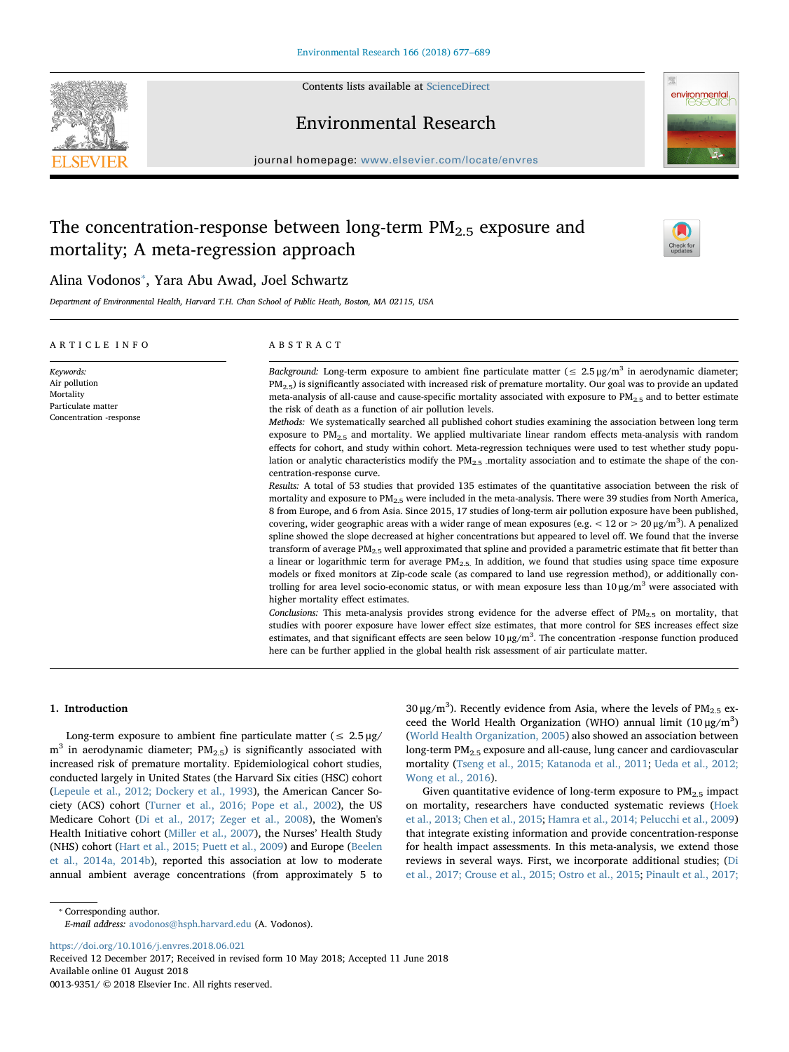

Contents lists available at [ScienceDirect](http://www.sciencedirect.com/science/journal/00139351)

Environmental Research



journal homepage: [www.elsevier.com/locate/envres](https://www.elsevier.com/locate/envres)

# The concentration-response between long-term  $PM_{2.5}$  exposure and mortality; A meta-regression approach



# Alina Vodonos<sup>\*</sup>, Yara Abu Awad, Joel Schwartz

Department of Environmental Health, Harvard T.H. Chan School of Public Heath, Boston, MA 02115, USA

| ARTICLE INFO                                                                             | ABSTRACT                                                                                                                                                                                                                                                                                                                                                                                                                                                                                                                                                                                                                                                                                                                                                                                                                                                                                                                                                                                                                                                                                                                                                                                                                                                                                                                                                                                                                                                                                                                                                                                                                                                                                                                                                                                                                                                                                                                                                                                                                                                                                                                                                                                                                                                                                                                                                                                                                                                                                                                                            |
|------------------------------------------------------------------------------------------|-----------------------------------------------------------------------------------------------------------------------------------------------------------------------------------------------------------------------------------------------------------------------------------------------------------------------------------------------------------------------------------------------------------------------------------------------------------------------------------------------------------------------------------------------------------------------------------------------------------------------------------------------------------------------------------------------------------------------------------------------------------------------------------------------------------------------------------------------------------------------------------------------------------------------------------------------------------------------------------------------------------------------------------------------------------------------------------------------------------------------------------------------------------------------------------------------------------------------------------------------------------------------------------------------------------------------------------------------------------------------------------------------------------------------------------------------------------------------------------------------------------------------------------------------------------------------------------------------------------------------------------------------------------------------------------------------------------------------------------------------------------------------------------------------------------------------------------------------------------------------------------------------------------------------------------------------------------------------------------------------------------------------------------------------------------------------------------------------------------------------------------------------------------------------------------------------------------------------------------------------------------------------------------------------------------------------------------------------------------------------------------------------------------------------------------------------------------------------------------------------------------------------------------------------------|
| Keywords:<br>Air pollution<br>Mortality<br>Particulate matter<br>Concentration -response | Background: Long-term exposure to ambient fine particulate matter ( $\leq 2.5 \mu g/m^3$ in aerodynamic diameter;<br>$PM_{2.5}$ ) is significantly associated with increased risk of premature mortality. Our goal was to provide an updated<br>meta-analysis of all-cause and cause-specific mortality associated with exposure to $PM_{2.5}$ and to better estimate<br>the risk of death as a function of air pollution levels.<br>Methods: We systematically searched all published cohort studies examining the association between long term<br>exposure to $PM_{2.5}$ and mortality. We applied multivariate linear random effects meta-analysis with random<br>effects for cohort, and study within cohort. Meta-regression techniques were used to test whether study popu-<br>lation or analytic characteristics modify the $PM_{2.5}$ mortality association and to estimate the shape of the con-<br>centration-response curve.<br>Results: A total of 53 studies that provided 135 estimates of the quantitative association between the risk of<br>mortality and exposure to $PM_{2.5}$ were included in the meta-analysis. There were 39 studies from North America,<br>8 from Europe, and 6 from Asia. Since 2015, 17 studies of long-term air pollution exposure have been published,<br>covering, wider geographic areas with a wider range of mean exposures (e.g. $< 12$ or $> 20 \mu g/m3$ ). A penalized<br>spline showed the slope decreased at higher concentrations but appeared to level off. We found that the inverse<br>transform of average $PM_{2.5}$ well approximated that spline and provided a parametric estimate that fit better than<br>a linear or logarithmic term for average $PM_{2.5}$ . In addition, we found that studies using space time exposure<br>models or fixed monitors at Zip-code scale (as compared to land use regression method), or additionally con-<br>trolling for area level socio-economic status, or with mean exposure less than $10 \mu g/m^3$ were associated with<br>higher mortality effect estimates.<br>Conclusions: This meta-analysis provides strong evidence for the adverse effect of $PM_{2.5}$ on mortality, that<br>studies with poorer exposure have lower effect size estimates, that more control for SES increases effect size<br>estimates, and that significant effects are seen below 10 $\mu$ g/m <sup>3</sup> . The concentration -response function produced<br>here can be further applied in the global health risk assessment of air particulate matter. |
|                                                                                          |                                                                                                                                                                                                                                                                                                                                                                                                                                                                                                                                                                                                                                                                                                                                                                                                                                                                                                                                                                                                                                                                                                                                                                                                                                                                                                                                                                                                                                                                                                                                                                                                                                                                                                                                                                                                                                                                                                                                                                                                                                                                                                                                                                                                                                                                                                                                                                                                                                                                                                                                                     |

# 1. Introduction

Long-term exposure to ambient fine particulate matter ( $\leq 2.5 \,\text{µg}/$  $m<sup>3</sup>$  in aerodynamic diameter; PM<sub>2.5</sub>) is significantly associated with increased risk of premature mortality. Epidemiological cohort studies, conducted largely in United States (the Harvard Six cities (HSC) cohort ([Lepeule et al., 2012; Dockery et al., 1993](#page-10-0)), the American Cancer Society (ACS) cohort ([Turner et al., 2016; Pope et al., 2002\)](#page-11-0), the US Medicare Cohort [\(Di et al., 2017; Zeger et al., 2008](#page-10-1)), the Women's Health Initiative cohort [\(Miller et al., 2007](#page-11-1)), the Nurses' Health Study (NHS) cohort ([Hart et al., 2015; Puett et al., 2009](#page-11-2)) and Europe [\(Beelen](#page-10-2) [et al., 2014a, 2014b\)](#page-10-2), reported this association at low to moderate annual ambient average concentrations (from approximately 5 to

30 μg/m<sup>3</sup>). Recently evidence from Asia, where the levels of  $PM_{2.5}$  exceed the World Health Organization (WHO) annual limit  $(10 \mu g/m^3)$ ([World Health Organization, 2005\)](#page-11-3) also showed an association between long-term  $PM<sub>2.5</sub>$  exposure and all-cause, lung cancer and cardiovascular mortality ([Tseng et al., 2015; Katanoda et al., 2011](#page-11-4); [Ueda et al., 2012;](#page-11-5) [Wong et al., 2016](#page-11-5)).

Given quantitative evidence of long-term exposure to  $PM_{2.5}$  impact on mortality, researchers have conducted systematic reviews [\(Hoek](#page-10-3) [et al., 2013; Chen et al., 2015;](#page-10-3) [Hamra et al., 2014; Pelucchi et al., 2009\)](#page-10-4) that integrate existing information and provide concentration-response for health impact assessments. In this meta-analysis, we extend those reviews in several ways. First, we incorporate additional studies; ([Di](#page-10-5) [et al., 2017; Crouse et al., 2015; Ostro et al., 2015](#page-10-5); [Pinault et al., 2017;](#page-11-6)

<span id="page-0-0"></span>⁎ Corresponding author. E-mail address: [avodonos@hsph.harvard.edu](mailto:avodonos@hsph.harvard.edu) (A. Vodonos).

<https://doi.org/10.1016/j.envres.2018.06.021>

Received 12 December 2017; Received in revised form 10 May 2018; Accepted 11 June 2018 Available online 01 August 2018 0013-9351/ © 2018 Elsevier Inc. All rights reserved.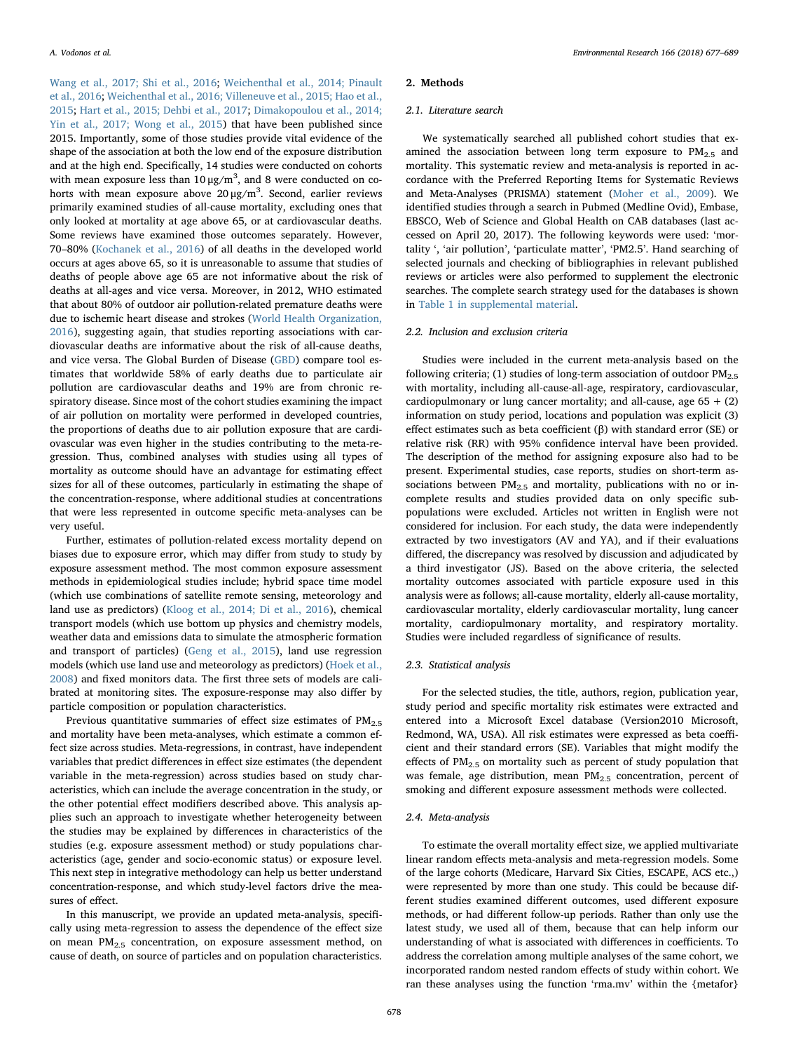[Wang et al., 2017; Shi et al., 2016;](#page-11-6) [Weichenthal et al., 2014; Pinault](#page-11-7) [et al., 2016;](#page-11-7) [Weichenthal et al., 2016; Villeneuve et al., 2015; Hao et al.,](#page-10-6) [2015;](#page-10-6) [Hart et al., 2015; Dehbi et al., 2017](#page-10-7); [Dimakopoulou et al., 2014;](#page-10-8) [Yin et al., 2017; Wong et al., 2015](#page-10-8)) that have been published since 2015. Importantly, some of those studies provide vital evidence of the shape of the association at both the low end of the exposure distribution and at the high end. Specifically, 14 studies were conducted on cohorts with mean exposure less than  $10 \mu g/m^3$ , and 8 were conducted on cohorts with mean exposure above  $20 \mu\text{g/m}^3$ . Second, earlier reviews primarily examined studies of all-cause mortality, excluding ones that only looked at mortality at age above 65, or at cardiovascular deaths. Some reviews have examined those outcomes separately. However, 70–80% [\(Kochanek et al., 2016](#page-11-8)) of all deaths in the developed world occurs at ages above 65, so it is unreasonable to assume that studies of deaths of people above age 65 are not informative about the risk of deaths at all-ages and vice versa. Moreover, in 2012, WHO estimated that about 80% of outdoor air pollution-related premature deaths were due to ischemic heart disease and strokes [\(World Health Organization,](#page-11-9) [2016\)](#page-11-9), suggesting again, that studies reporting associations with cardiovascular deaths are informative about the risk of all-cause deaths, and vice versa. The Global Burden of Disease [\(GBD](#page-11-10)) compare tool estimates that worldwide 58% of early deaths due to particulate air pollution are cardiovascular deaths and 19% are from chronic respiratory disease. Since most of the cohort studies examining the impact of air pollution on mortality were performed in developed countries, the proportions of deaths due to air pollution exposure that are cardiovascular was even higher in the studies contributing to the meta-regression. Thus, combined analyses with studies using all types of mortality as outcome should have an advantage for estimating effect sizes for all of these outcomes, particularly in estimating the shape of the concentration-response, where additional studies at concentrations that were less represented in outcome specific meta-analyses can be very useful.

Further, estimates of pollution-related excess mortality depend on biases due to exposure error, which may differ from study to study by exposure assessment method. The most common exposure assessment methods in epidemiological studies include; hybrid space time model (which use combinations of satellite remote sensing, meteorology and land use as predictors) ([Kloog et al., 2014; Di et al., 2016\)](#page-10-9), chemical transport models (which use bottom up physics and chemistry models, weather data and emissions data to simulate the atmospheric formation and transport of particles) [\(Geng et al., 2015](#page-10-10)), land use regression models (which use land use and meteorology as predictors) ([Hoek et al.,](#page-11-11) [2008\)](#page-11-11) and fixed monitors data. The first three sets of models are calibrated at monitoring sites. The exposure-response may also differ by particle composition or population characteristics.

Previous quantitative summaries of effect size estimates of  $PM_{2.5}$ and mortality have been meta-analyses, which estimate a common effect size across studies. Meta-regressions, in contrast, have independent variables that predict differences in effect size estimates (the dependent variable in the meta-regression) across studies based on study characteristics, which can include the average concentration in the study, or the other potential effect modifiers described above. This analysis applies such an approach to investigate whether heterogeneity between the studies may be explained by differences in characteristics of the studies (e.g. exposure assessment method) or study populations characteristics (age, gender and socio-economic status) or exposure level. This next step in integrative methodology can help us better understand concentration-response, and which study-level factors drive the measures of effect.

In this manuscript, we provide an updated meta-analysis, specifically using meta-regression to assess the dependence of the effect size on mean  $PM_{2.5}$  concentration, on exposure assessment method, on cause of death, on source of particles and on population characteristics.

#### 2. Methods

#### 2.1. Literature search

We systematically searched all published cohort studies that examined the association between long term exposure to  $PM_{2.5}$  and mortality. This systematic review and meta-analysis is reported in accordance with the Preferred Reporting Items for Systematic Reviews and Meta-Analyses (PRISMA) statement ([Moher et al., 2009](#page-11-12)). We identified studies through a search in Pubmed (Medline Ovid), Embase, EBSCO, Web of Science and Global Health on CAB databases (last accessed on April 20, 2017). The following keywords were used: 'mortality ', 'air pollution', 'particulate matter', 'PM2.5'. Hand searching of selected journals and checking of bibliographies in relevant published reviews or articles were also performed to supplement the electronic searches. The complete search strategy used for the databases is shown in Table 1 in supplemental material.

#### 2.2. Inclusion and exclusion criteria

Studies were included in the current meta-analysis based on the following criteria; (1) studies of long-term association of outdoor  $PM_{2.5}$ with mortality, including all-cause-all-age, respiratory, cardiovascular, cardiopulmonary or lung cancer mortality; and all-cause, age  $65 + (2)$ information on study period, locations and population was explicit (3) effect estimates such as beta coefficient (β) with standard error (SE) or relative risk (RR) with 95% confidence interval have been provided. The description of the method for assigning exposure also had to be present. Experimental studies, case reports, studies on short-term associations between  $PM_{2.5}$  and mortality, publications with no or incomplete results and studies provided data on only specific subpopulations were excluded. Articles not written in English were not considered for inclusion. For each study, the data were independently extracted by two investigators (AV and YA), and if their evaluations differed, the discrepancy was resolved by discussion and adjudicated by a third investigator (JS). Based on the above criteria, the selected mortality outcomes associated with particle exposure used in this analysis were as follows; all-cause mortality, elderly all-cause mortality, cardiovascular mortality, elderly cardiovascular mortality, lung cancer mortality, cardiopulmonary mortality, and respiratory mortality. Studies were included regardless of significance of results.

#### 2.3. Statistical analysis

For the selected studies, the title, authors, region, publication year, study period and specific mortality risk estimates were extracted and entered into a Microsoft Excel database (Version2010 Microsoft, Redmond, WA, USA). All risk estimates were expressed as beta coefficient and their standard errors (SE). Variables that might modify the effects of  $PM<sub>2.5</sub>$  on mortality such as percent of study population that was female, age distribution, mean PM<sub>2.5</sub> concentration, percent of smoking and different exposure assessment methods were collected.

# 2.4. Meta-analysis

To estimate the overall mortality effect size, we applied multivariate linear random effects meta-analysis and meta-regression models. Some of the large cohorts (Medicare, Harvard Six Cities, ESCAPE, ACS etc.,) were represented by more than one study. This could be because different studies examined different outcomes, used different exposure methods, or had different follow-up periods. Rather than only use the latest study, we used all of them, because that can help inform our understanding of what is associated with differences in coefficients. To address the correlation among multiple analyses of the same cohort, we incorporated random nested random effects of study within cohort. We ran these analyses using the function 'rma.mv' within the {metafor}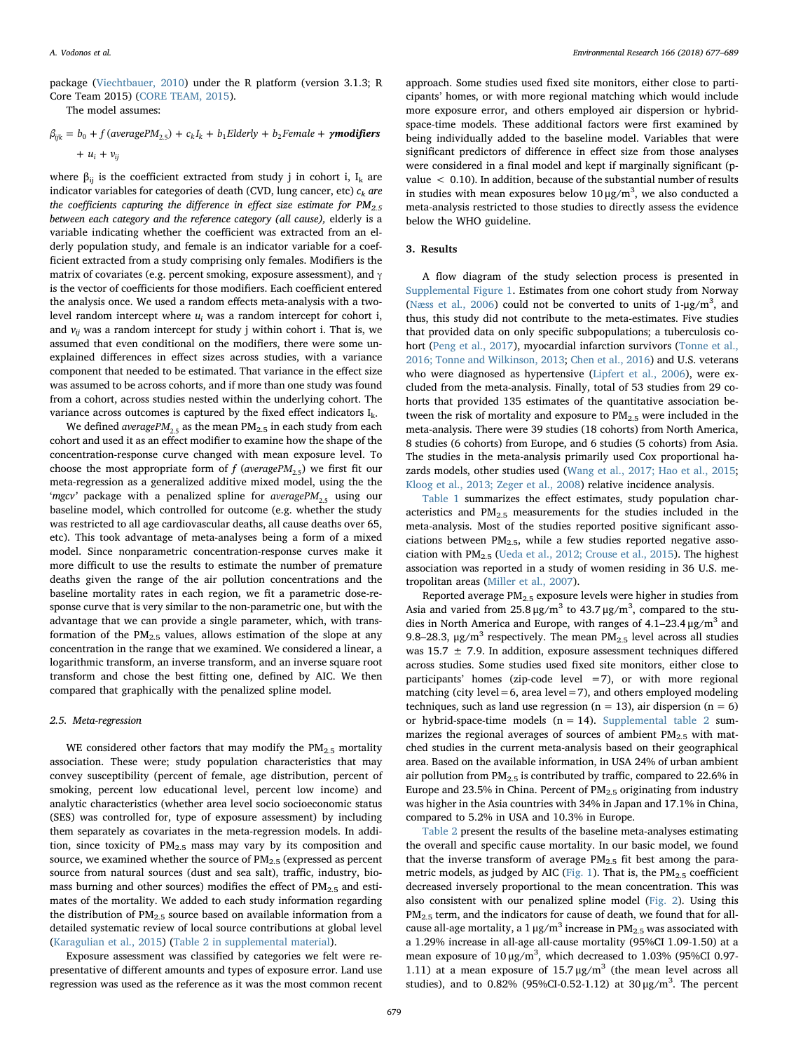package ([Viechtbauer, 2010](#page-11-13)) under the R platform (version 3.1.3; R Core Team 2015) [\(CORE TEAM, 2015](#page-11-14)).

The model assumes:

$$
\beta_{ijk} = b_0 + f(\text{average}PM_{2.5}) + c_k I_k + b_1 \text{Elderly} + b_2 \text{Female} + \gamma \text{modifiers}
$$
  
+  $u_i + v_{ij}$ 

where  $\beta_{ij}$  is the coefficient extracted from study j in cohort i, I<sub>k</sub> are indicator variables for categories of death (CVD, lung cancer, etc)  $c_k$  are the coefficients capturing the difference in effect size estimate for  $PM_{2.5}$ between each category and the reference category (all cause), elderly is a variable indicating whether the coefficient was extracted from an elderly population study, and female is an indicator variable for a coefficient extracted from a study comprising only females. Modifiers is the matrix of covariates (e.g. percent smoking, exposure assessment), and  $\gamma$ is the vector of coefficients for those modifiers. Each coefficient entered the analysis once. We used a random effects meta-analysis with a twolevel random intercept where  $u_i$  was a random intercept for cohort i, and  $v_{ii}$  was a random intercept for study j within cohort i. That is, we assumed that even conditional on the modifiers, there were some unexplained differences in effect sizes across studies, with a variance component that needed to be estimated. That variance in the effect size was assumed to be across cohorts, and if more than one study was found from a cohort, across studies nested within the underlying cohort. The variance across outcomes is captured by the fixed effect indicators  $I_k$ .

We defined *averagePM*<sub>2.5</sub> as the mean  $PM_{2.5}$  in each study from each cohort and used it as an effect modifier to examine how the shape of the concentration-response curve changed with mean exposure level. To choose the most appropriate form of  $f$  (*averagePM*<sub>25</sub>) we first fit our meta-regression as a generalized additive mixed model, using the the 'mgcv' package with a penalized spline for  $averagePM_{2.5}$  using our baseline model, which controlled for outcome (e.g. whether the study was restricted to all age cardiovascular deaths, all cause deaths over 65, etc). This took advantage of meta-analyses being a form of a mixed model. Since nonparametric concentration-response curves make it more difficult to use the results to estimate the number of premature deaths given the range of the air pollution concentrations and the baseline mortality rates in each region, we fit a parametric dose-response curve that is very similar to the non-parametric one, but with the advantage that we can provide a single parameter, which, with transformation of the  $PM_{2.5}$  values, allows estimation of the slope at any concentration in the range that we examined. We considered a linear, a logarithmic transform, an inverse transform, and an inverse square root transform and chose the best fitting one, defined by AIC. We then compared that graphically with the penalized spline model.

### 2.5. Meta-regression

WE considered other factors that may modify the  $PM_{2.5}$  mortality association. These were; study population characteristics that may convey susceptibility (percent of female, age distribution, percent of smoking, percent low educational level, percent low income) and analytic characteristics (whether area level socio socioeconomic status (SES) was controlled for, type of exposure assessment) by including them separately as covariates in the meta-regression models. In addition, since toxicity of  $PM_{2.5}$  mass may vary by its composition and source, we examined whether the source of  $PM_{2.5}$  (expressed as percent source from natural sources (dust and sea salt), traffic, industry, biomass burning and other sources) modifies the effect of  $PM_{2.5}$  and estimates of the mortality. We added to each study information regarding the distribution of  $PM_{2.5}$  source based on available information from a detailed systematic review of local source contributions at global level ([Karagulian et al., 2015](#page-11-15)) (Table 2 in supplemental material).

Exposure assessment was classified by categories we felt were representative of different amounts and types of exposure error. Land use regression was used as the reference as it was the most common recent

approach. Some studies used fixed site monitors, either close to participants' homes, or with more regional matching which would include more exposure error, and others employed air dispersion or hybridspace-time models. These additional factors were first examined by being individually added to the baseline model. Variables that were significant predictors of difference in effect size from those analyses were considered in a final model and kept if marginally significant (pvalue < 0.10). In addition, because of the substantial number of results in studies with mean exposures below  $10 \mu g/m^3$ , we also conducted a meta-analysis restricted to those studies to directly assess the evidence below the WHO guideline.

### 3. Results

A flow diagram of the study selection process is presented in Supplemental Figure 1. Estimates from one cohort study from Norway ([Næss et al., 2006](#page-11-16)) could not be converted to units of 1-μg/m<sup>3</sup>, and thus, this study did not contribute to the meta-estimates. Five studies that provided data on only specific subpopulations; a tuberculosis cohort ([Peng et al., 2017\)](#page-11-17), myocardial infarction survivors ([Tonne et al.,](#page-11-18) [2016; Tonne and Wilkinson, 2013](#page-11-18); [Chen et al., 2016](#page-10-11)) and U.S. veterans who were diagnosed as hypertensive ([Lipfert et al., 2006\)](#page-11-19), were excluded from the meta-analysis. Finally, total of 53 studies from 29 cohorts that provided 135 estimates of the quantitative association between the risk of mortality and exposure to  $PM_{2.5}$  were included in the meta-analysis. There were 39 studies (18 cohorts) from North America, 8 studies (6 cohorts) from Europe, and 6 studies (5 cohorts) from Asia. The studies in the meta-analysis primarily used Cox proportional hazards models, other studies used [\(Wang et al., 2017; Hao et al., 2015](#page-10-6); [Kloog et al., 2013; Zeger et al., 2008](#page-11-20)) relative incidence analysis.

[Table 1](#page-3-0) summarizes the effect estimates, study population characteristics and PM2.5 measurements for the studies included in the meta-analysis. Most of the studies reported positive significant associations between  $PM_{2.5}$ , while a few studies reported negative association with PM2.5 ([Ueda et al., 2012; Crouse et al., 2015\)](#page-10-5). The highest association was reported in a study of women residing in 36 U.S. metropolitan areas [\(Miller et al., 2007\)](#page-11-1).

Reported average  $PM_{2.5}$  exposure levels were higher in studies from Asia and varied from  $25.8 \,\mathrm{\upmu g/m^3}$  to  $43.7 \,\mathrm{\upmu g/m^3}$ , compared to the studies in North America and Europe, with ranges of  $4.1-23.4 \,\mu g/m^3$  and 9.8–28.3,  $\mu$ g/m<sup>3</sup> respectively. The mean PM<sub>2.5</sub> level across all studies was 15.7  $\pm$  7.9. In addition, exposure assessment techniques differed across studies. Some studies used fixed site monitors, either close to participants' homes (zip-code level =7), or with more regional matching (city level  $=6$ , area level  $=7$ ), and others employed modeling techniques, such as land use regression ( $n = 13$ ), air dispersion ( $n = 6$ ) or hybrid-space-time models  $(n = 14)$ . Supplemental table 2 summarizes the regional averages of sources of ambient  $PM_{2.5}$  with matched studies in the current meta-analysis based on their geographical area. Based on the available information, in USA 24% of urban ambient air pollution from PM2.5 is contributed by traffic, compared to 22.6% in Europe and 23.5% in China. Percent of  $PM<sub>2.5</sub>$  originating from industry was higher in the Asia countries with 34% in Japan and 17.1% in China, compared to 5.2% in USA and 10.3% in Europe.

[Table 2](#page-7-0) present the results of the baseline meta-analyses estimating the overall and specific cause mortality. In our basic model, we found that the inverse transform of average  $PM_{2.5}$  fit best among the para-metric models, as judged by AIC ([Fig. 1\)](#page-7-1). That is, the  $PM_{2.5}$  coefficient decreased inversely proportional to the mean concentration. This was also consistent with our penalized spline model [\(Fig. 2\)](#page-7-2). Using this PM<sub>2.5</sub> term, and the indicators for cause of death, we found that for allcause all-age mortality, a 1  $\mu$ g/m<sup>3</sup> increase in PM<sub>2.5</sub> was associated with a 1.29% increase in all-age all-cause mortality (95%CI 1.09-1.50) at a mean exposure of  $10 \mu g/m^3$ , which decreased to  $1.03\%$  (95%CI 0.97-1.11) at a mean exposure of  $15.7 \mu g/m^3$  (the mean level across all studies), and to  $0.82\%$  (95%CI-0.52-1.12) at  $30 \,\mu\text{g/m}^3$ . The percent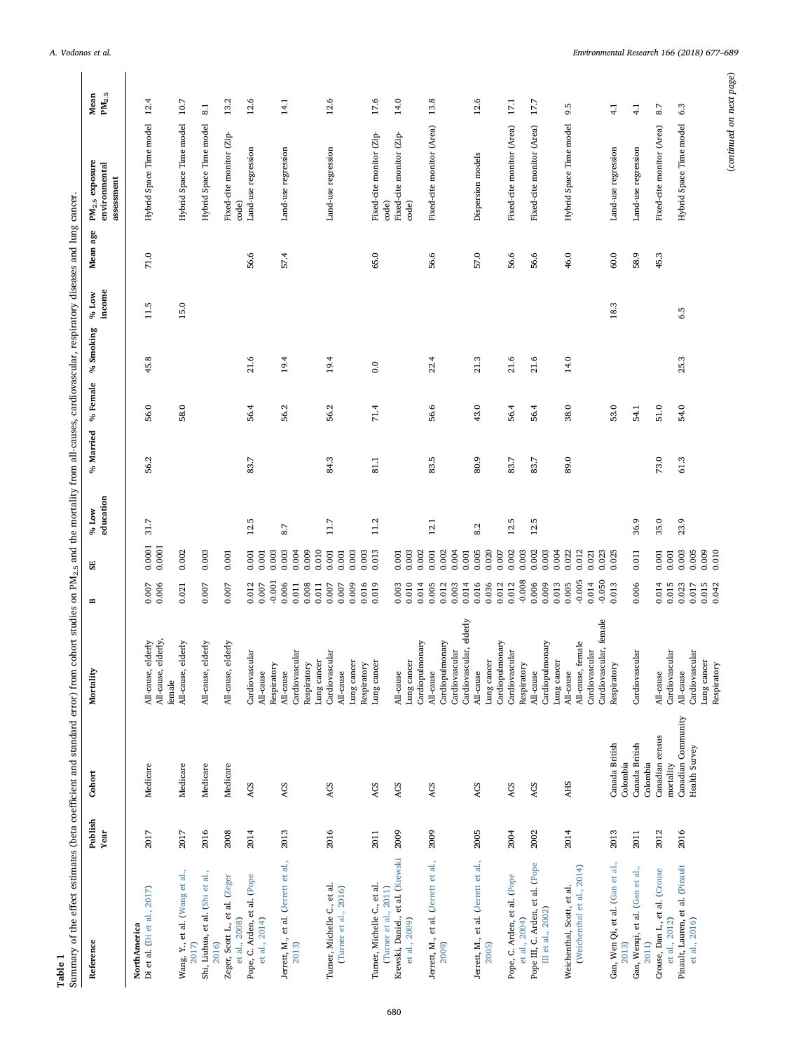<span id="page-3-0"></span>

| Summary of the effect estimates (beta coefficient and standard error) from<br>Reference | Publish<br>Year | Cohort                              | cohort studies on PM <sub>2.5</sub> and the mortality from all-causes, cardiovascular, respiratory diseases and lung cancer.<br>Mortality | М                   | 55                   | education<br>$%$ Low | % Married | % Female | % Smoking | income<br>% Low | Mean age | PM <sub>2.5</sub> exposure<br>environmental | $\mathbf{PM_{2.5}}$<br>Mean |
|-----------------------------------------------------------------------------------------|-----------------|-------------------------------------|-------------------------------------------------------------------------------------------------------------------------------------------|---------------------|----------------------|----------------------|-----------|----------|-----------|-----------------|----------|---------------------------------------------|-----------------------------|
|                                                                                         |                 |                                     |                                                                                                                                           |                     |                      |                      |           |          |           |                 |          | assessment                                  |                             |
| Di et al. (Di et al., 2017)<br>NorthAmerica                                             | 2017            | Medicare                            | All-cause, elderly                                                                                                                        | 0.007               |                      | 31.7                 | 56.2      | 56.0     | 45.8      | 11.5            | 71.0     | Hybrid Space Time model                     | 12.4                        |
|                                                                                         |                 |                                     | All-cause, elderly,<br>female                                                                                                             | 0.006               | $0.0001$<br>$0.0001$ |                      |           |          |           |                 |          |                                             |                             |
| Wang, Y., et al. (Wang et al.,<br>2017)                                                 | 2017            | Medicare                            | All-cause, elderly                                                                                                                        | 0.021               | 0.002                |                      |           | 58.0     |           | 15.0            |          | Hybrid Space Time model                     | 10.7                        |
| Shi, Liuhua, et al. (Shi et al.                                                         | 2016            | Medicare                            | All-cause, elderly                                                                                                                        | 0.007               | 0.003                |                      |           |          |           |                 |          | Hybrid Space Time model                     | 8.1                         |
| Zeger, Scott L., et al. (Zeger<br>et al., 2008)<br>2016)                                | 2008            | Medicare                            | elderly<br>All-cause,                                                                                                                     | 0.007               | $0.001\,$            |                      |           |          |           |                 |          | Fixed-cite monitor (Zip-<br>code)           | 13.2                        |
| Pope, C. Arden, et al. (Pope                                                            | 2014            | ACS                                 | Cardiovascular                                                                                                                            | 0.012               | $\rm 0.001$          | 12.5                 | 83.7      | 56.4     | 21.6      |                 | 56.6     | Land-use regression                         | 12.6                        |
| et al., 2014)                                                                           |                 |                                     | Respiratory<br>All-cause                                                                                                                  | $-0.001$<br>$0.007$ | 0.003<br>0.001       |                      |           |          |           |                 |          |                                             |                             |
| Jerrett, M., et al. (Jerrett et al.,                                                    | 2013            | ACS                                 | All-cause                                                                                                                                 | 0.006               | 0.003                | 8.7                  |           | 56.2     | 19.4      |                 | 57.4     | Land-use regression                         | 14.1                        |
| 2013)                                                                                   |                 |                                     | Cardiovascular                                                                                                                            | $0.011\,$           | 0.009<br>0.004       |                      |           |          |           |                 |          |                                             |                             |
|                                                                                         |                 |                                     | Lung cancer<br>Respiratory                                                                                                                | 0.008<br>$0.011\,$  | 0.010                |                      |           |          |           |                 |          |                                             |                             |
| Turner, Michelle C., et al.                                                             | 2016            | ACS                                 | Cardiovascular                                                                                                                            | 0.007               | 0.001                | 11.7                 | 84.3      | 56.2     | 19.4      |                 |          | Land-use regression                         | 12.6                        |
| (Turner et al., 2016)                                                                   |                 |                                     | All-cause                                                                                                                                 | $0.007$             | $\!0.001$            |                      |           |          |           |                 |          |                                             |                             |
|                                                                                         |                 |                                     | Lung cancer<br>Respiratory                                                                                                                | 0.009<br>0.016      | 0.003<br>0.003       |                      |           |          |           |                 |          |                                             |                             |
| Turner, Michelle C., et al.                                                             | 2011            | ACS                                 | Lung cancer                                                                                                                               | 0.019               | 0.013                | 11.2                 | 81.1      | 71.4     | 0.0       |                 | 65.0     | Fixed-cite monitor (Zip-                    | 17.6                        |
| (Turner et al., 2011)                                                                   |                 |                                     |                                                                                                                                           |                     |                      |                      |           |          |           |                 |          | code)                                       |                             |
| Krewski, Daniel., et al. (Krewski<br>et al., 2009)                                      | 2009            | ACS                                 | Lung cancer<br>All-cause                                                                                                                  | 0.003<br>0.010      | 0.003<br>0.001       |                      |           |          |           |                 |          | Fixed-cite monitor (Zip-<br>code)           | 14.0                        |
|                                                                                         |                 |                                     | Cardiopulmonary                                                                                                                           | 0.014               | 0.002                |                      |           |          |           |                 |          |                                             |                             |
| Jerrett, M., et al. (Jerrett et al.,                                                    | 2009            | ACS                                 | All-cause                                                                                                                                 | 0.005               | 0.001                | 12.1                 | 83.5      | 56.6     | 22.4      |                 | 56.6     | Fixed-cite monitor (Area)                   | 13.8                        |
| 2009)                                                                                   |                 |                                     | Cardiopulmonary                                                                                                                           | 0.012               | 0.002                |                      |           |          |           |                 |          |                                             |                             |
|                                                                                         |                 |                                     | Cardiovascular, elderly<br>Cardiovascular                                                                                                 | 0.003<br>0.014      | 0.004<br>0.001       |                      |           |          |           |                 |          |                                             |                             |
| Jerrett, M., et al. (Jerrett et al.,                                                    | 2005            | ACS                                 | All-cause                                                                                                                                 | 0.016               | 0.005                | 8.2                  | 80.9      | 43.0     | 21.3      |                 | 57.0     | Dispersion models                           | 12.6                        |
| 2005)                                                                                   |                 |                                     | Lung cancer                                                                                                                               | 0.036               | 0.020                |                      |           |          |           |                 |          |                                             |                             |
|                                                                                         |                 |                                     | Cardiopulmonary                                                                                                                           | 0.012               | 0.007                |                      |           |          |           |                 |          |                                             |                             |
| Pope, C. Arden, et al. (Pope<br>et al., 2004)                                           | 2004            | ACS                                 | Cardiovascular<br>Respiratory                                                                                                             | $-0.008$<br>0.012   | 0.003<br>0.002       | rÙ.<br>12.           | 83.7      | 56.4     | 21.6      |                 | 56.6     | Fixed-cite monitor (Area)                   | 17.1                        |
| Pope III, C. Arden, et al. (Pope                                                        | 2002            | ACS                                 | All-cause                                                                                                                                 | 0.006               | 0.002                | 12.5                 | 83.7      | 56.4     | 21.6      |                 | 56.6     | Fixed-cite monitor (Area)                   | 17.7                        |
| III et al., 2002)                                                                       |                 |                                     | Cardiopulmonary                                                                                                                           | 0.009               | 0.003                |                      |           |          |           |                 |          |                                             |                             |
|                                                                                         |                 |                                     | Lung cancer                                                                                                                               | 0.013               | 0.004                |                      |           |          |           |                 |          |                                             |                             |
| Weichenthal, Scott, et al.                                                              | 2014            | <b>AHS</b>                          | All-cause                                                                                                                                 | 0.005               | 0.022                |                      | 89.0      | 38.0     | 14.0      |                 | 46.0     | Hybrid Space Time model                     | 9.5                         |
| (Weichenthal et al., 2014)                                                              |                 |                                     | All-cause, female                                                                                                                         | $-0.005$            | 0.012                |                      |           |          |           |                 |          |                                             |                             |
|                                                                                         |                 |                                     | Cardiovascular                                                                                                                            | $-0.050$<br>0.014   | 0.023<br>0.021       |                      |           |          |           |                 |          |                                             |                             |
| Gan, Wen Qi, et al. (Gan et al.,                                                        | 2013            | Canada British                      | Cardiovascular, female<br>Respiratory                                                                                                     | 0.013               | 0.025                |                      |           | 53.0     |           | 18.3            | 60.0     | Land-use regression                         | 4.1                         |
| 2013)                                                                                   |                 | Colombia                            |                                                                                                                                           |                     |                      |                      |           |          |           |                 |          |                                             |                             |
| Gan, Wenqi, et al. (Gan et al.,                                                         | 2011            | Canada British                      | Cardiovascular                                                                                                                            | 0.006               | 0.011                | 36.9                 |           | 54.1     |           |                 | 58.9     | Land-use regression                         | $\overline{4.1}$            |
| 2011)                                                                                   |                 | Colombia                            |                                                                                                                                           |                     |                      |                      |           |          |           |                 |          |                                             |                             |
| Crouse, Dan L., et al. (Crouse                                                          | 2012            | Canadian census                     | All-cause                                                                                                                                 | 0.014               | $\!0.001$            | 35.0                 | 73.0      | 51.0     |           |                 | 45.3     | Fixed-cite monitor (Area)                   | 8.7                         |
| et al., 2012)                                                                           | 2016            | mortality                           | Cardiovascular                                                                                                                            | 0.015<br>0.023      | 0.001                |                      |           |          |           |                 |          |                                             | 6.3                         |
| Pinault, Lauren, et al. (Pinault<br>et al., 2016)                                       |                 | Canadian Community<br>Health Survey | Cardiovascular<br>All-cause                                                                                                               | 0.017               | 0.003<br>0.005       | 23.9                 | 61.3      | 54.0     | 25.3      | 6.5             |          | Hybrid Space Time model                     |                             |
|                                                                                         |                 |                                     | Lung cancer                                                                                                                               | 0.015               | 0.009                |                      |           |          |           |                 |          |                                             |                             |
|                                                                                         |                 |                                     | Respiratory                                                                                                                               | 0.042               | 0.010                |                      |           |          |           |                 |          |                                             |                             |

A. Vodonos et al. *Environmental Research 166 (2018) 677–689*

(continued on next page)

 $\left( {continued\ on\ next\ page} \right)$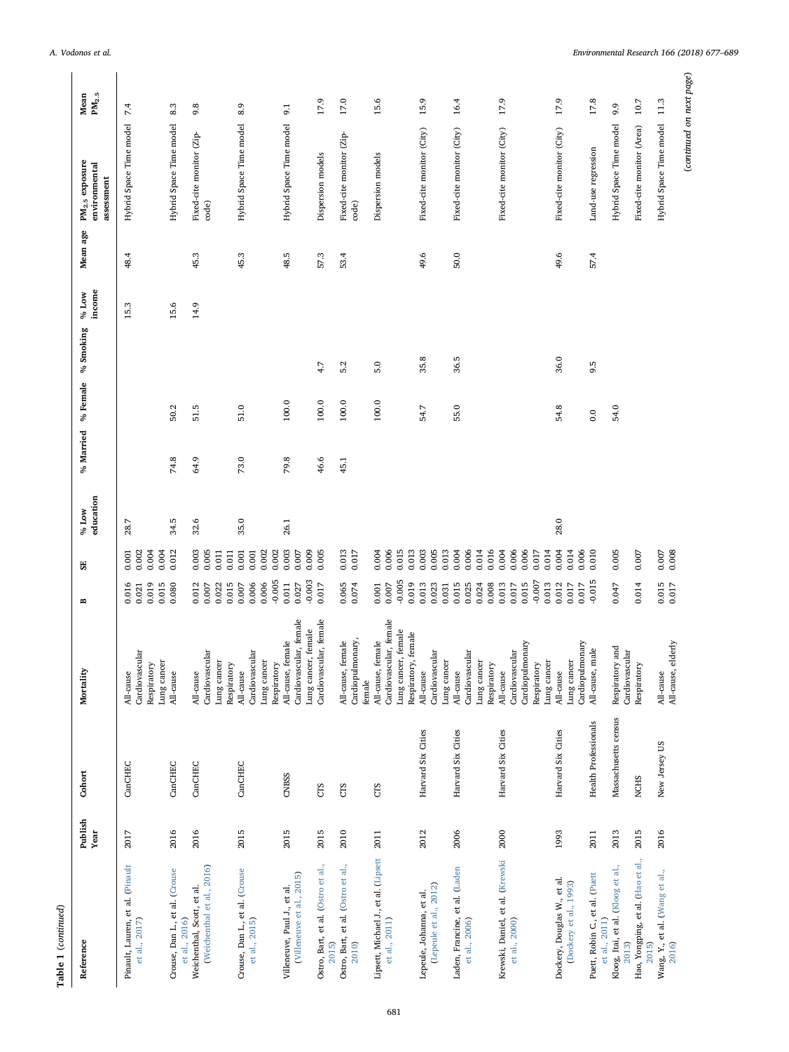| Table 1 (continued)                                      |                 |                             |                                                                                                 |                                                  |                                           |                    |           |          |           |                 |           |                                                           |                             |
|----------------------------------------------------------|-----------------|-----------------------------|-------------------------------------------------------------------------------------------------|--------------------------------------------------|-------------------------------------------|--------------------|-----------|----------|-----------|-----------------|-----------|-----------------------------------------------------------|-----------------------------|
| Reference                                                | Publish<br>Year | Cohort                      | Mortality                                                                                       | $\blacksquare$                                   | 55                                        | education<br>% Low | % Married | % Female | % Smoking | income<br>% Low | Mean age  | PM <sub>2.5</sub> exposure<br>environmental<br>assessment | $\mathbf{PM_{2.5}}$<br>Mean |
| Pinault, Lauren, et al. (Pinault<br>et al., 2017)        | 2017            | CanCHEC                     | Cardiovascular<br>Lung cancer<br>Respiratory<br>All-cause                                       | 0.019<br>0.015<br>0.016<br>0.021                 | 0.004<br>0.002<br>0.004<br>0.001          | 28.7               |           |          |           | w<br>15.        | 48.4      | Hybrid Space Time model                                   | 7.4                         |
| Crouse, Dan L., et al. (Crouse<br>et al., 2016)          | 2016            | CanCHEC                     | All-cause                                                                                       | 0.080                                            | 0.012                                     | 34.5               | 74.8      | 50.2     |           | 15.6            |           | Hybrid Space Time model                                   | 8.3                         |
| (Weichenthal et al., 2016)<br>Weichenthal, Scott, et al. | 2016            | CanCHEC                     | ār<br>Cardiovascul<br>Lung cancer<br>Respiratory<br>All-cause                                   | 0.012<br>0.015<br>0.022<br>$0.007\,$             | 0.005<br>0.003<br>0.011<br>0.011          | 32.6               | 64.9      | 51.5     |           | 14.9            | 45.3      | Fixed-cite monitor (Zip-<br>code)                         | 9.8                         |
| Crouse, Dan L., et al. (Crouse<br>et al., 2015)          | 2015            | CanCHEC                     | Cardiovascular<br>Lung cancer<br>Respiratory<br>All-cause                                       | $-0.005$<br>0.006<br>0.006<br>0.007              | 0.002<br>0.002<br>0.001<br>$0.001\,$      | 35.0               | 73.0      | 51.0     |           |                 | 45.3      | Hybrid Space Time model                                   | 8.9                         |
| (Villeneuve et al., 2015)<br>Villeneuve, Paul J., et al. | 2015            | <b>CNBSS</b>                | Cardiovascular, female<br>female<br>All-cause, female<br>Lung cancer,                           | $-0.003$<br>0.011<br>0.027                       | 0.003<br>$0.007$<br>0.009                 | 26.1               | 79.8      | 100.0    |           |                 | r.<br>48. | Hybrid Space Time model                                   | 9.1                         |
| Ostro, Bart, et al. (Ostro et al.,<br>2015)              | 2015            | CTS                         | ar, female<br>Cardiovascul                                                                      | 0.017                                            | 0.005                                     |                    | 46.6      | 100.0    | 4.7       |                 | 57.3      | Dispersion models                                         | 17.9                        |
| Ostro, Bart, et al. (Ostro et al.,<br>2010)              | 2010            | CTS                         | Cardiopulmonary,<br>All-cause, female<br>female                                                 | 0.065<br>0.074                                   | 0.013<br>0.017                            |                    | 45.1      | 100.0    | 5.2       |                 | 53.4      | Fixed-cite monitor (Zip-<br>code)                         | 17.0                        |
| Lipsett, Michael J., et al. (Lipsett<br>et al., 2011)    | 2011            | CTS                         | Cardiovascular, female<br>female<br>female<br>All-cause, female<br>Lung cancer,<br>Respiratory, | $-0.005$<br>0.019<br>0.007<br>$_{0.001}$         | 0.015<br>0.006<br>0.013<br>0.004          |                    |           | 100.0    | 5.0       |                 |           | Dispersion models                                         | 15.6                        |
| (Lepeule et al., 2012)<br>Lepeule, Johanna, et al.       | 2012            | Harvard Six Cities          | Cardiovascular<br>Lung cancer<br>All-cause                                                      | 0.013<br>0.023<br>0.031                          | 0.005<br>0.003<br>0.013                   |                    |           | 54.7     | 35.8      |                 | 49.6      | Fixed-cite monitor (City)                                 | 15.9                        |
| Laden, Francine, et al. (Laden<br>et al., 2006)          | 2006            | Harvard Six Cities          | Cardiovascular<br>Lung cancer<br>Respiratory<br>All-cause                                       | 0.015<br>0.025<br>0.024<br>0.008                 | 0.004<br>0.006<br>0.014<br>0.016          |                    |           | 55.0     | 36.5      |                 | 50.0      | Fixed-cite monitor (City)                                 | 16.4                        |
| Krewski, Daniel, et al. (Krewski<br>et al., 2000)        | 2000            | Harvard Six Cities          | Cardiopulmonary<br>Cardiovascular<br>Lung cancer<br>Respiratory<br>All-cause                    | $-0.007$<br>0.013<br>0.015<br>0.013<br>$0.017\,$ | 0.006<br>0.004<br>0.006<br>0.014<br>0.017 |                    |           |          |           |                 |           | Fixed-cite monitor (City)                                 | 17.9                        |
| Dockery, Douglas W., et al.<br>(Dockery et al., 1993)    | 1993            | Harvard Six Cities          | Cardiopulmonary<br>Lung cancer<br>All-cause                                                     | 0.012<br>$0.017\,$<br>0.017                      | 0.004<br>0.014<br>0.006                   | 28.0               |           | 54.8     | 36.0      |                 | 49.6      | Fixed-cite monitor (City)                                 | 17.9                        |
| Puett, Robin C., et al. (Puett<br>et al., 2011)          | 2011            | <b>Health Professionals</b> | All-cause, male                                                                                 | $-0.015$                                         | 0.010                                     |                    |           | 0.0      | 9.5       |                 | 57.4      | Land-use regression                                       | 17.8                        |
| Kloog, Itai, et al. (Kloog et al.,<br>2013)              | 2013            | Massachusetts census        | and<br>Cardiovascular<br>Respiratory                                                            | 0.047                                            | 0.005                                     |                    |           | 54.0     |           |                 |           | Hybrid Space Time model                                   | 9.9                         |
| Hao, Yongping, et al. (Hao et al.,<br>2015)              | 2015            | <b>NCHS</b>                 | Respiratory                                                                                     | 0.014                                            | 0.007                                     |                    |           |          |           |                 |           | Fixed-cite monitor (Area)                                 | 10.7                        |
| Wang, Y., et al. (Wang et al.,<br>2016)                  | 2016            | New Jersey US               | All-cause, elderly<br>All-cause                                                                 | 0.015<br>0.017                                   | 0.008<br>$0.007\,$                        |                    |           |          |           |                 |           | Hybrid Space Time model                                   | $11.3\,$                    |
|                                                          |                 |                             |                                                                                                 |                                                  |                                           |                    |           |          |           |                 |           | (continued on next page)                                  |                             |

A. Vodonos et al. *Environmental Research 166 (2018) 677–689*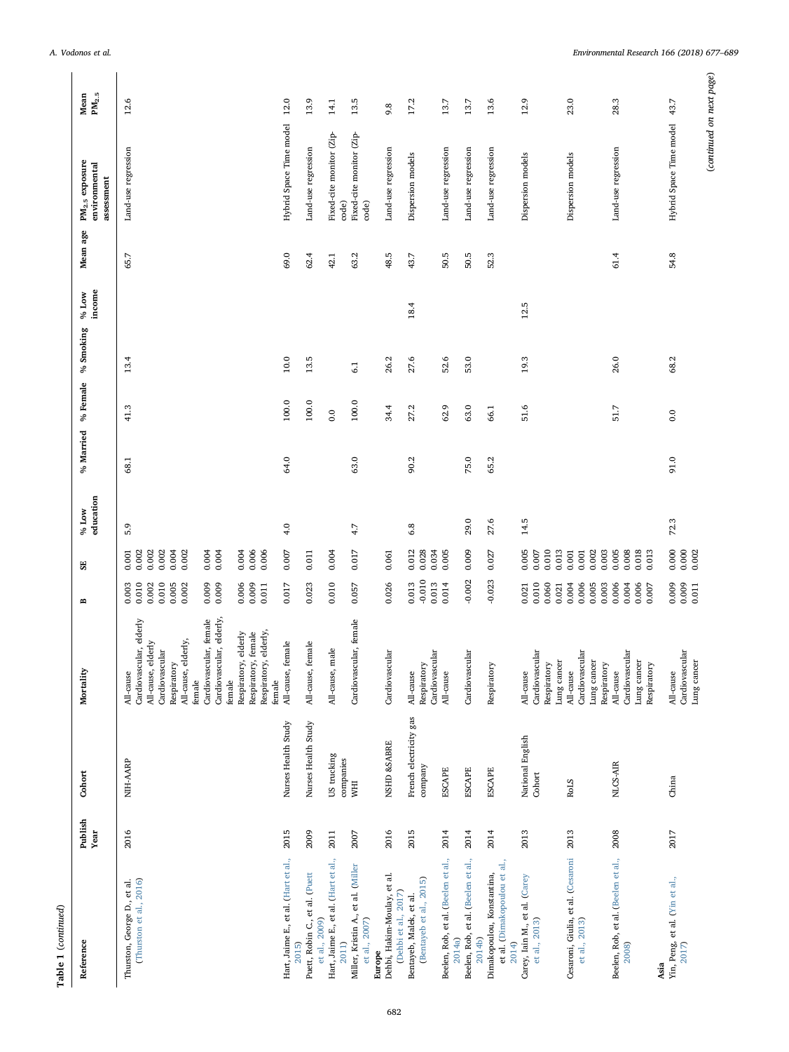| E       |  |
|---------|--|
|         |  |
| ≒<br>π, |  |

| Reference                                                          | Publish<br>Year | Cohort                            | Mortality                                                                                                                                                                                                                                                                               | $\mathbf{m}$                                                                                    | S.                                                                                     | education<br>% Low | % Married % Female % Smoking |       |                 | income<br>% Low | Mean age | $\mathrm{PM_{2.5}}$ exposure<br>environmental<br>assessment | $\mathbf{PM_{2.5}}$<br>Mean |
|--------------------------------------------------------------------|-----------------|-----------------------------------|-----------------------------------------------------------------------------------------------------------------------------------------------------------------------------------------------------------------------------------------------------------------------------------------|-------------------------------------------------------------------------------------------------|----------------------------------------------------------------------------------------|--------------------|------------------------------|-------|-----------------|-----------------|----------|-------------------------------------------------------------|-----------------------------|
| (Thurston et al., 2016)<br>Thurston, George D., et al.             | 2016            | NIH-AARP                          | Cardiovascular, elderly,<br>Cardiovascular, female<br>Cardiovascular, elderly<br>elderly,<br>elderly<br>female<br>All-cause, elderly,<br>All-cause, elderly<br>Cardiovascular<br>Respiratory<br>Respiratory,<br>Respiratory,<br>Respiratory,<br>All-cause<br>female<br>female<br>female | 0.010<br>0.010<br>0.005<br>0.009<br>0.006<br>0.003<br>0.002<br>0.002<br>0.009<br>0.009<br>0.011 | 0.004<br>0.002<br>0.002<br>0.002<br>0.002<br>0.004<br>0.004<br>0.006<br>0.006<br>0.001 | 5.9                | 68.1                         | 41.3  | 4<br>13         |                 | 65.7     | Land-use regression                                         | ٯ<br>12.                    |
| Hart, Jaime E., et al. (Hart et al.,<br>2015                       | 2015            | Nurses Health Study               | All-cause, female                                                                                                                                                                                                                                                                       | $0.017\,$                                                                                       | $0.007\,$                                                                              | 4.0                | 64.0                         | 100.0 | $10.0$          |                 | 69.0     | Hybrid Space Time model                                     | $12.0$                      |
| Puett, Robin C., et al. (Puett<br>et al., 2009)                    | 2009            | Nurses Health Study               | All-cause, female                                                                                                                                                                                                                                                                       | 0.023                                                                                           | $0.011\,$                                                                              |                    |                              | 100.0 | 13.5            |                 | 62.4     | Land-use regression                                         | 13.9                        |
| Hart, Jaime E., et al. (Hart et al.,<br>2011)                      | 2011            | US trucking<br>companies          | All-cause, male                                                                                                                                                                                                                                                                         | 0.010                                                                                           | 0.004                                                                                  |                    |                              | 0.0   |                 |                 | 42.1     | Fixed-cite monitor (Zip-<br>code)                           | 14.1                        |
| Miller, Kristin A., et al. (Miller<br>et al., 2007)<br>Europe      | 2007            | WHI                               | Cardiovascular, female                                                                                                                                                                                                                                                                  | 0.057                                                                                           | 0.017                                                                                  | 4.7                | 63.0                         | 100.0 | $\overline{61}$ |                 | 63.2     | Fixed-cite monitor (Zip-<br>code)                           | 13.5                        |
| Dehbi, Hakim-Moulay, et al.<br>(Dehbi et al., 2017)                | 2016            | NSHD &SABRE                       | Cardiovascular                                                                                                                                                                                                                                                                          | 0.026                                                                                           | 0.061                                                                                  |                    |                              | 34.4  | 26.2            |                 | 48.5     | Land-use regression                                         | 9.8                         |
| (Bentayeb et al., 2015)<br>Bentayeb, Malek, et al.                 | 2015            | French electricity gas<br>company | Cardiovascular<br>Respiratory<br>All-cause                                                                                                                                                                                                                                              | $-0.010$<br>0.013<br>0.013                                                                      | 0.028<br>0.012<br>0.034                                                                | 6.8                | 90.2                         | 27.2  | 27.6            | 18.4            | 43.7     | Dispersion models                                           | 17.2                        |
| Beelen, Rob, et al. (Beelen et al.,<br>2014a                       | 2014            | <b>ESCAPE</b>                     | All-cause                                                                                                                                                                                                                                                                               | 0.014                                                                                           | 0.005                                                                                  |                    |                              | 62.9  | 52.6            |                 | 50.5     | Land-use regression                                         | 13.7                        |
| Beelen, Rob, et al. (Beelen et al.,<br>2014b)                      | 2014            | <b>ESCAPE</b>                     | Cardiovascular                                                                                                                                                                                                                                                                          | $-0.002$                                                                                        | 0.009                                                                                  | 29.0               | 75.0                         | 63.0  | 53.0            |                 | 50.5     | Land-use regression                                         | 13.7                        |
| et al. (Dimakopoulou et al.<br>Dimakopoulou, Konstantina,<br>2014) | 2014            | <b>ESCAPE</b>                     | Respiratory                                                                                                                                                                                                                                                                             | $-0.023$                                                                                        | 0.027                                                                                  | 27.6               | 65.2                         | 66.1  |                 |                 | 52.3     | Land-use regression                                         | 13.6                        |
| Carey, Iain M., et al. (Carey<br>et al., 2013)                     | 2013            | National English<br>Cohort        | Cardiovascular<br>Lung cancer<br><br>Respiratory<br>All-cause                                                                                                                                                                                                                           | 0.010<br>0.060<br>0.021<br>0.021                                                                | 0.005<br>0.010<br>0.013<br>0.007                                                       | 14.5               |                              | 51.6  | 19.3            | 12.5            |          | Dispersion models                                           | 12.9                        |
| Cesaroni, Giulia, et al. (Cesaroni<br>et al., 2013)                | 2013            | RoLS                              | Cardiovascular<br>Lung cancer<br>Respiratory<br>All-cause                                                                                                                                                                                                                               | 0.005<br>0.004<br>0.006<br>0.003                                                                | 0.002<br>0.003<br>0.001<br>$\!0.001$                                                   |                    |                              |       |                 |                 |          | Dispersion models                                           | 23.0                        |
| Beelen, Rob, et al. (Beelen et al.,<br>2008)                       | 2008            | NLCS-AIR                          | Cardiovascular<br>Lung cancer<br>Respiratory<br>All-cause                                                                                                                                                                                                                               | 0.006<br>0.004<br>0.006<br>0.007                                                                | 0.005<br>0.008<br>0.018<br>0.013                                                       |                    |                              | 51.7  | 26.0            |                 | 61.4     | Land-use regression                                         | 28.3                        |
| Yin, Peng, et al. (Yin et al.,<br>2017)<br>Asia                    | 2017            | China                             | Cardiovascular<br>Lung cancer<br>All-cause                                                                                                                                                                                                                                              | 0.009<br>0.009<br>$0.011\,$                                                                     | 0.000<br>0.000<br>0.002                                                                | 72.3               | 91.0                         | 0.0   | 68.2            |                 | 54.8     | Hybrid Space Time model                                     | 43.7                        |

682

(continued on next page)

 $\left( {continued\ on\ next\ page} \right)$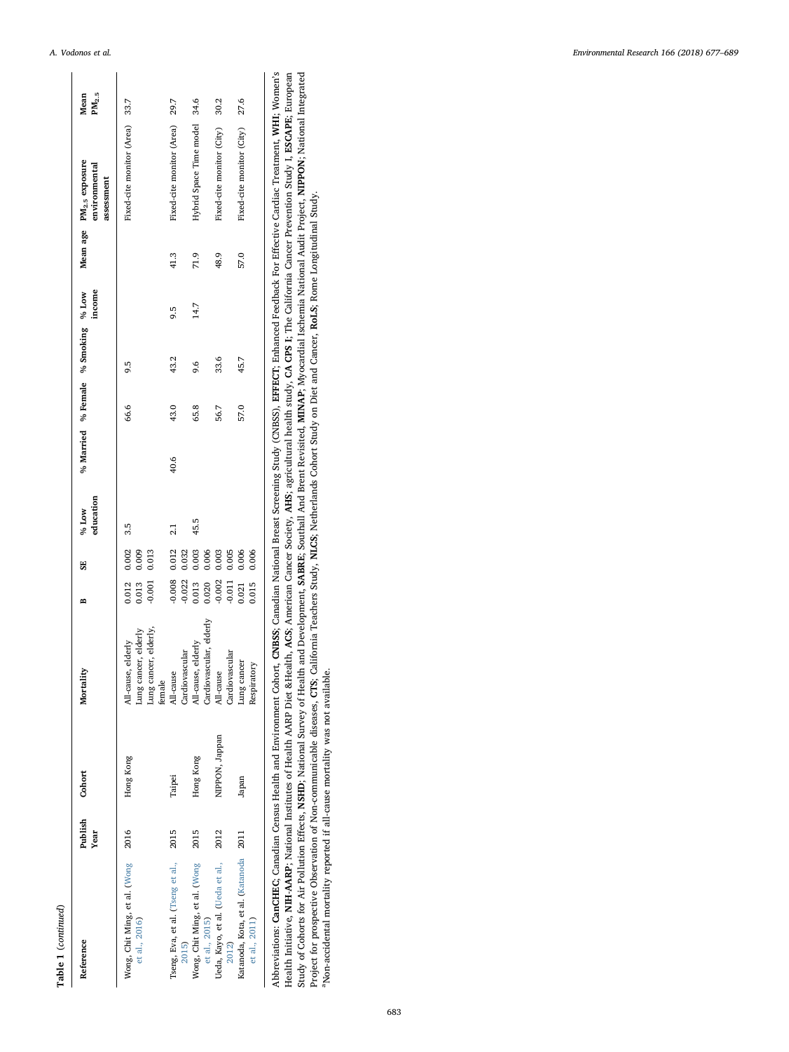| í |
|---|
| ٦ |

| Reference                                                              | Publish<br>Year | Cohort         | Mortality                                                                     | m                       | SE,                     | education<br>% Low |      |      | % Married % Female % Smoking % Low | income |      | Mean age PM <sub>2.5</sub> exposure<br>environmental<br>assessment                                                                | $PM_{2.5}$<br>Mean |
|------------------------------------------------------------------------|-----------------|----------------|-------------------------------------------------------------------------------|-------------------------|-------------------------|--------------------|------|------|------------------------------------|--------|------|-----------------------------------------------------------------------------------------------------------------------------------|--------------------|
| Wong, Chit Ming, et al. (Wong<br>et al., 2016)                         | 2016            | Hong Kong      | Lung cancer, elderly,<br>Lung cancer, elderly<br>All-cause, elderly<br>female | 0.012<br>0.001<br>0.013 | 0.002<br>0.009<br>0.013 | 3.5                |      | 66.6 | 9.5                                |        |      | Fixed-cite monitor (Area)                                                                                                         | 33.7               |
| Tseng, Eva, et al. (Tseng et al.,<br>2015)                             | 2015            | Taipei         | Cardiovascular<br>All-cause                                                   | $-0.008$<br>$-0.022$    | 0.012<br>0.032          | $\overline{c}$     | 40.6 | 43.0 | 43.2                               | 9.5    | 41.3 | Fixed-cite monitor (Area) 29.7                                                                                                    |                    |
| Wong, Chit Ming, et al. (Wong<br>et al., 2015)                         | 2015            | Hong Kong      | Cardiovascular, elderly<br>All-cause, elderly                                 | 0.013<br>0.020          | 0.003<br>0.006          | 45.5               |      | 65.8 | 9.6                                | 14.7   | 71.9 | Hybrid Space Time model 34.6                                                                                                      |                    |
| Ueda, Kayo, et al. (Ueda et al.,<br>2012)                              | 2012            | NIPPON, Jappan | Cardiovascular<br>All-cause                                                   | $-0.002$<br>$-0.011$    | 0.003<br>0.005          |                    |      | 56.7 | 33.6                               |        | 48.9 | Fixed-cite monitor (City)                                                                                                         | 30.2               |
| Katanoda, Kota, et al. (Katanoda 2011<br>et al., 2011)                 |                 | Japan          | Lung cancer<br>Respiratory                                                    | 0.015<br>0.021          | 0.006<br>0.006          |                    |      | 57.0 | 45.7                               |        | 57.0 | Fixed-cite monitor (City)                                                                                                         | 27.6               |
| Abbreviations: CanCHEC; Canadian Census Health and Environment Cohort, |                 |                |                                                                               |                         |                         |                    |      |      |                                    |        |      | CINBSS; Canadian National Breast Screening Study (CNBSS), EFFECT; Enhanced Feedback For Effective Cardiac Treatment, WHI; Women's |                    |

Abbreviations: CanCHEC; Canadian Census Health and Environment Cohort, CNBSS; Canadian National Breats Screening Study (CNBSS), EFFECT; Enhanced Feedback For Effective Cardiac Treatment, WHI; Women's<br>Health Initiative, MH-Abbreviations: CanCHEC; Canadian Census Health and Environment Cohort, CNBSS; Canadian National Breast Screening Study (CNBSS), EFFECT; Enhanced Feedback For Effective Cardiac Treatment, WHI; Women's Health Initiative, NIH-AARP; National Institutes of Health AARP Diet &Health, ACS; American Cancer Society, AHS; agricultural health study, CA CPS I; The California Cancer Prevention Study I, ESCAPE; European Study of Cohorts for Air Pollution Effects, NSHD; National Survey of Health and Development, SABRE; Southall And Brent Revisited, MINAP; Myocardial Ischemia National Audit Project, NIPPON; National Integrated Project for prospective Observation of Non-communicable diseases, CTS; California Teachers Study, NLCS; Netherlands Cohort Study on Diet and Cancer, RoLS; Rome Longitudinal Study. aNon-accidental mortality reported if all-cause mortality was not available.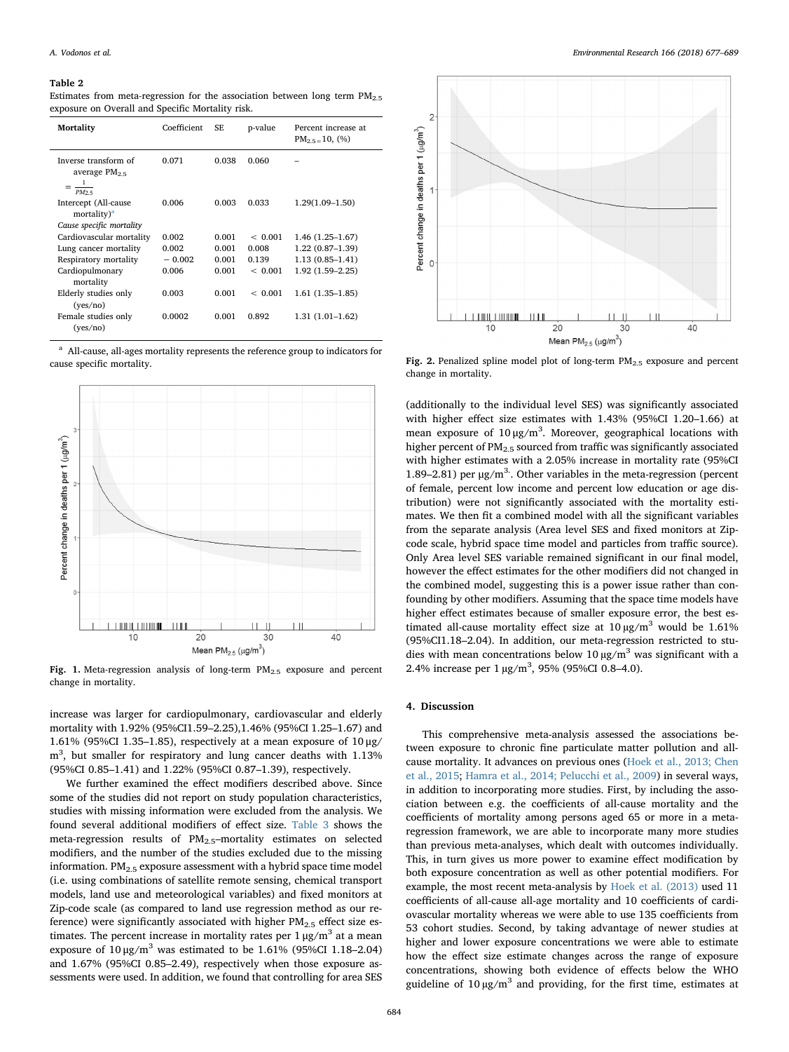#### <span id="page-7-0"></span>Table 2

Estimates from meta-regression for the association between long term  $PM_{2.5}$ exposure on Overall and Specific Mortality risk.

| Mortality                                                                   | Coefficient | SE.   | p-value | Percent increase at<br>$PM_{2.5} = 10,$ (%) |
|-----------------------------------------------------------------------------|-------------|-------|---------|---------------------------------------------|
| Inverse transform of<br>average $PM_{2.5}$<br>$PM_2$                        | 0.071       | 0.038 | 0.060   |                                             |
| Intercept (All-cause<br>mortality) <sup>a</sup><br>Cause specific mortality | 0.006       | 0.003 | 0.033   | $1.29(1.09 - 1.50)$                         |
| Cardiovascular mortality                                                    | 0.002       | 0.001 | < 0.001 | $1.46(1.25-1.67)$                           |
| Lung cancer mortality                                                       | 0.002       | 0.001 | 0.008   | $1.22(0.87-1.39)$                           |
| Respiratory mortality                                                       | $-0.002$    | 0.001 | 0.139   | $1.13(0.85-1.41)$                           |
| Cardiopulmonary<br>mortality                                                | 0.006       | 0.001 | < 0.001 | $1.92(1.59-2.25)$                           |
| Elderly studies only<br>(yes/no)                                            | 0.003       | 0.001 | < 0.001 | $1.61(1.35-1.85)$                           |
| Female studies only<br>(yes/no)                                             | 0.0002      | 0.001 | 0.892   | $1.31(1.01-1.62)$                           |

<span id="page-7-3"></span><sup>a</sup> All-cause, all-ages mortality represents the reference group to indicators for cause specific mortality.

<span id="page-7-1"></span>

Fig. 1. Meta-regression analysis of long-term  $PM_{2.5}$  exposure and percent change in mortality.

increase was larger for cardiopulmonary, cardiovascular and elderly mortality with 1.92% (95%CI1.59–2.25),1.46% (95%CI 1.25–1.67) and 1.61% (95%CI 1.35–1.85), respectively at a mean exposure of 10 μg/ m<sup>3</sup>, but smaller for respiratory and lung cancer deaths with 1.13% (95%CI 0.85–1.41) and 1.22% (95%CI 0.87–1.39), respectively.

We further examined the effect modifiers described above. Since some of the studies did not report on study population characteristics, studies with missing information were excluded from the analysis. We found several additional modifiers of effect size. [Table 3](#page-8-0) shows the meta-regression results of  $PM_{2.5}$ -mortality estimates on selected modifiers, and the number of the studies excluded due to the missing information.  $PM<sub>2.5</sub>$  exposure assessment with a hybrid space time model (i.e. using combinations of satellite remote sensing, chemical transport models, land use and meteorological variables) and fixed monitors at Zip-code scale (as compared to land use regression method as our reference) were significantly associated with higher  $PM<sub>2.5</sub>$  effect size estimates. The percent increase in mortality rates per  $1 \mu g/m^3$  at a mean exposure of  $10 \mu$ g/m<sup>3</sup> was estimated to be 1.61% (95%CI 1.18–2.04) and 1.67% (95%CI 0.85–2.49), respectively when those exposure assessments were used. In addition, we found that controlling for area SES

<span id="page-7-2"></span>

Fig. 2. Penalized spline model plot of long-term  $PM_{2.5}$  exposure and percent change in mortality.

(additionally to the individual level SES) was significantly associated with higher effect size estimates with 1.43% (95%CI 1.20–1.66) at mean exposure of  $10 \mu g/m^3$ . Moreover, geographical locations with higher percent of  $PM_{2.5}$  sourced from traffic was significantly associated with higher estimates with a 2.05% increase in mortality rate (95%CI 1.89–2.81) per  $\mu$ g/m<sup>3</sup>. Other variables in the meta-regression (percent of female, percent low income and percent low education or age distribution) were not significantly associated with the mortality estimates. We then fit a combined model with all the significant variables from the separate analysis (Area level SES and fixed monitors at Zipcode scale, hybrid space time model and particles from traffic source). Only Area level SES variable remained significant in our final model, however the effect estimates for the other modifiers did not changed in the combined model, suggesting this is a power issue rather than confounding by other modifiers. Assuming that the space time models have higher effect estimates because of smaller exposure error, the best estimated all-cause mortality effect size at  $10 \mu g/m^3$  would be 1.61% (95%CI1.18–2.04). In addition, our meta-regression restricted to studies with mean concentrations below  $10 \mu g/m^3$  was significant with a 2.4% increase per  $1 \mu g/m^3$ , 95% (95%CI 0.8–4.0).

# 4. Discussion

This comprehensive meta-analysis assessed the associations between exposure to chronic fine particulate matter pollution and allcause mortality. It advances on previous ones ([Hoek et al., 2013; Chen](#page-10-3) [et al., 2015;](#page-10-3) [Hamra et al., 2014; Pelucchi et al., 2009\)](#page-10-4) in several ways, in addition to incorporating more studies. First, by including the association between e.g. the coefficients of all-cause mortality and the coefficients of mortality among persons aged 65 or more in a metaregression framework, we are able to incorporate many more studies than previous meta-analyses, which dealt with outcomes individually. This, in turn gives us more power to examine effect modification by both exposure concentration as well as other potential modifiers. For example, the most recent meta-analysis by [Hoek et al. \(2013\)](#page-11-46) used 11 coefficients of all-cause all-age mortality and 10 coefficients of cardiovascular mortality whereas we were able to use 135 coefficients from 53 cohort studies. Second, by taking advantage of newer studies at higher and lower exposure concentrations we were able to estimate how the effect size estimate changes across the range of exposure concentrations, showing both evidence of effects below the WHO guideline of  $10 \mu g/m^3$  and providing, for the first time, estimates at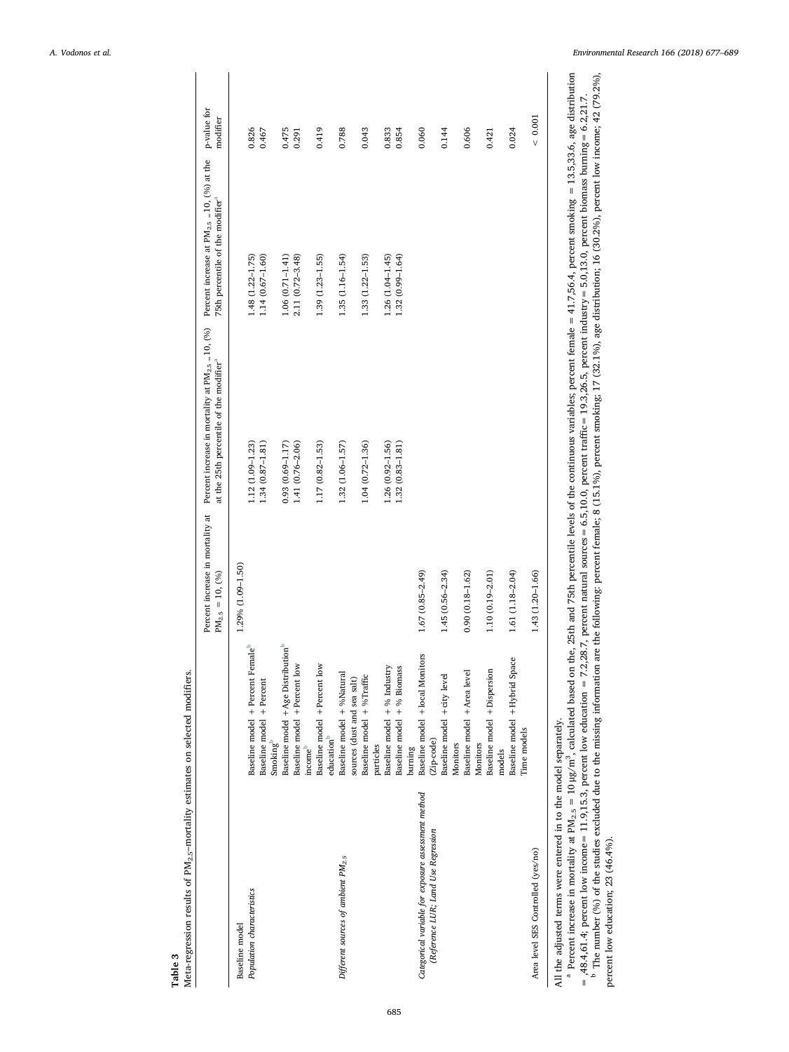<span id="page-8-0"></span>

| Meta-regression results of PM <sub>2.5</sub> -mortality estimates on selected modifiers. |                                                       |                                                          |                                                                                                                                                                                                                                                         |                                                                                                        |                         |
|------------------------------------------------------------------------------------------|-------------------------------------------------------|----------------------------------------------------------|---------------------------------------------------------------------------------------------------------------------------------------------------------------------------------------------------------------------------------------------------------|--------------------------------------------------------------------------------------------------------|-------------------------|
|                                                                                          |                                                       | Percent increase in mortality at<br>$PM_{2.5} = 10, (%)$ | Percent increase in mortality at PM <sub>2.5</sub> = 10, (%)<br>at the 25th percentile of the modifier <sup>a</sup>                                                                                                                                     | Percent increase at PM <sub>2.5</sub> = 10, (%) at the<br>75th percentile of the modifier <sup>a</sup> | p-value for<br>modifier |
| Baseline model                                                                           |                                                       | 1.29% (1.09-1.50)                                        |                                                                                                                                                                                                                                                         |                                                                                                        |                         |
| Population characteristics                                                               | Baseline model + Percent Female <sup>b</sup>          |                                                          | 1.12 (1.09-1.23)                                                                                                                                                                                                                                        | 1.48 (1.22-1.75)                                                                                       | 0.826                   |
|                                                                                          | Baseline model + Percent                              |                                                          | 1.34 (0.87-1.81)                                                                                                                                                                                                                                        | 1.14 (0.67-1.60)                                                                                       | 0.467                   |
|                                                                                          | Smoking <sup>b</sup>                                  |                                                          |                                                                                                                                                                                                                                                         |                                                                                                        |                         |
|                                                                                          | Baseline model + Age Distribution <sup>b</sup>        |                                                          | $0.93(0.69 - 1.17)$                                                                                                                                                                                                                                     | $1.06(0.71 - 1.41)$                                                                                    | 0.475                   |
|                                                                                          | Baseline model +Percent low                           |                                                          | 1.41 (0.76-2.06)                                                                                                                                                                                                                                        | 2.11 (0.72-3.48)                                                                                       | 0.291                   |
|                                                                                          | income <sup>b</sup>                                   |                                                          |                                                                                                                                                                                                                                                         |                                                                                                        |                         |
|                                                                                          | Baseline model +Percent low<br>education <sup>b</sup> |                                                          | 1.17 (0.82-1.53)                                                                                                                                                                                                                                        | $1.39(1.23 - 1.55)$                                                                                    | 0.419                   |
| Different sources of ambient PM <sub>2.5</sub>                                           | Baseline model + %Natural                             |                                                          | $1.32(1.06 - 1.57)$                                                                                                                                                                                                                                     | $1.35(1.16-1.54)$                                                                                      | 0.788                   |
|                                                                                          | sources (dust and sea salt)                           |                                                          |                                                                                                                                                                                                                                                         |                                                                                                        |                         |
|                                                                                          | Baseline model + %Traffic                             |                                                          | 1.04 (0.72-1.36)                                                                                                                                                                                                                                        | 1.33 (1.22-1.53)                                                                                       | 0.043                   |
|                                                                                          | particles                                             |                                                          |                                                                                                                                                                                                                                                         |                                                                                                        |                         |
|                                                                                          | Baseline model + % Industry                           |                                                          | 1.26 (0.92-1.56)                                                                                                                                                                                                                                        | $1.26(1.04-1.45)$                                                                                      | 0.833                   |
|                                                                                          | Baseline model + % Biomass                            |                                                          | $1.32(0.83 - 1.81)$                                                                                                                                                                                                                                     | $1.32(0.99 - 1.64)$                                                                                    | 0.854                   |
|                                                                                          | burning                                               |                                                          |                                                                                                                                                                                                                                                         |                                                                                                        |                         |
| Categorical variable for exposure assessment method                                      | Baseline model +local Monitors                        | $1.67(0.85 - 2.49)$                                      |                                                                                                                                                                                                                                                         |                                                                                                        | 0.060                   |
| (Reference LUR; Land Use Regression                                                      | (Zip-code)                                            |                                                          |                                                                                                                                                                                                                                                         |                                                                                                        |                         |
|                                                                                          | Baseline model + city level                           | $1.45(0.56 - 2.34)$                                      |                                                                                                                                                                                                                                                         |                                                                                                        | 0.144                   |
|                                                                                          | Monitors                                              |                                                          |                                                                                                                                                                                                                                                         |                                                                                                        |                         |
|                                                                                          | Baseline model + Area level                           | $0.90(0.18 - 1.62)$                                      |                                                                                                                                                                                                                                                         |                                                                                                        | 0.606                   |
|                                                                                          | Monitors                                              |                                                          |                                                                                                                                                                                                                                                         |                                                                                                        |                         |
|                                                                                          | Baseline model + Dispersion                           | 1.10 (0.19-2.01)                                         |                                                                                                                                                                                                                                                         |                                                                                                        | 0.421                   |
|                                                                                          | models                                                |                                                          |                                                                                                                                                                                                                                                         |                                                                                                        |                         |
|                                                                                          | Baseline model +Hybrid Space                          | 1.61 (1.18-2.04)                                         |                                                                                                                                                                                                                                                         |                                                                                                        | 0.024                   |
|                                                                                          | Time models                                           |                                                          |                                                                                                                                                                                                                                                         |                                                                                                        |                         |
| Area level SES Controlled (yes/no)                                                       |                                                       | 1.43 (1.20-1.66)                                         |                                                                                                                                                                                                                                                         |                                                                                                        | 0.001                   |
| All the adjusted terms were entered in to the model separately.                          |                                                       |                                                          | <sup>a</sup> Percent increase in mortality at PM <sub>2.5</sub> = 10µg/m <sup>3</sup> , calculated based on the, 25th and 75th percentile levels of the continuous variables; percent female = 41.7,56.4, percent smoking = 13.5,33.6, age distribution |                                                                                                        |                         |

Table 3 Meta-regression results of PM<sub>2.5</sub>-mortality estimates on selected modifiers. = ,48.4,61.4; percent low income = 11.9,15.3, percent low education = 7.2,28.7, percent natural sources = 6.5,100, percent traffic = 19.3,26.5, percent industry = 5.0,13.0, percent biomass burning = 6.2,21.7.

<span id="page-8-2"></span><span id="page-8-1"></span>=  ${}_484,61.4$ ; percent low income = 11.9,15.3, percent low education = 7.2,28.7, percent natural sources = 6.5,10.0, percent traffic = 19.3,26.5, percent industry = 5.0,13.0, percent low mass burning = 6.2,21.7.<br><sup>b</sup> The n <sup>9</sup> The number (%) of the studies excluded due to the missing information are the following: percent female; 8 (15.1%), percent smoking; 17 (32.1%), age distribution; 16 (30.2%), percent low income; 42 (79.2%), percent low education; 23 (46.4%).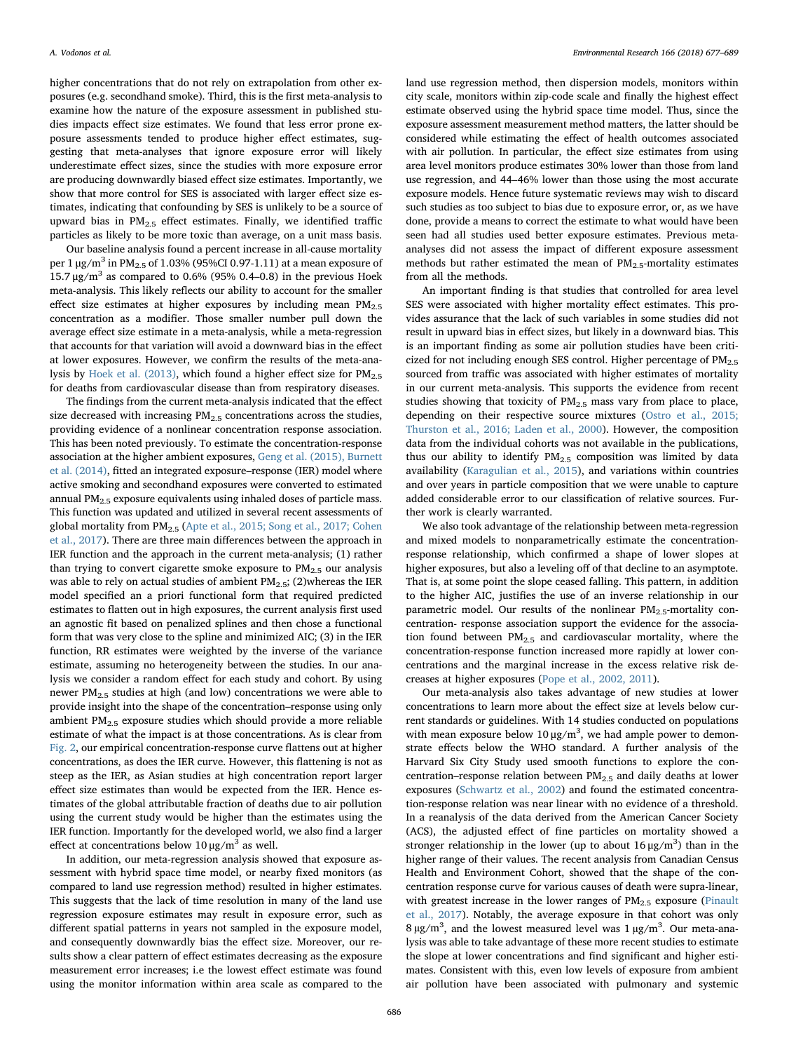higher concentrations that do not rely on extrapolation from other exposures (e.g. secondhand smoke). Third, this is the first meta-analysis to examine how the nature of the exposure assessment in published studies impacts effect size estimates. We found that less error prone exposure assessments tended to produce higher effect estimates, suggesting that meta-analyses that ignore exposure error will likely underestimate effect sizes, since the studies with more exposure error are producing downwardly biased effect size estimates. Importantly, we show that more control for SES is associated with larger effect size estimates, indicating that confounding by SES is unlikely to be a source of upward bias in  $PM_{2.5}$  effect estimates. Finally, we identified traffic particles as likely to be more toxic than average, on a unit mass basis.

Our baseline analysis found a percent increase in all-cause mortality per 1  $\mu$ g/m<sup>3</sup> in PM<sub>2.5</sub> of 1.03% (95%CI 0.97-1.11) at a mean exposure of 15.7 μg/m<sup>3</sup> as compared to 0.6% (95% 0.4–0.8) in the previous Hoek meta-analysis. This likely reflects our ability to account for the smaller effect size estimates at higher exposures by including mean  $PM_{2.5}$ concentration as a modifier. Those smaller number pull down the average effect size estimate in a meta-analysis, while a meta-regression that accounts for that variation will avoid a downward bias in the effect at lower exposures. However, we confirm the results of the meta-ana-lysis by [Hoek et al. \(2013\),](#page-11-46) which found a higher effect size for  $PM_{2.5}$ for deaths from cardiovascular disease than from respiratory diseases.

The findings from the current meta-analysis indicated that the effect size decreased with increasing  $PM_{2.5}$  concentrations across the studies, providing evidence of a nonlinear concentration response association. This has been noted previously. To estimate the concentration-response association at the higher ambient exposures, [Geng et al. \(2015\), Burnett](#page-10-21) [et al. \(2014\),](#page-10-21) fitted an integrated exposure–response (IER) model where active smoking and secondhand exposures were converted to estimated annual PM2.5 exposure equivalents using inhaled doses of particle mass. This function was updated and utilized in several recent assessments of global mortality from PM2.5 [\(Apte et al., 2015; Song et al., 2017; Cohen](#page-10-22) [et al., 2017](#page-10-22)). There are three main differences between the approach in IER function and the approach in the current meta-analysis; (1) rather than trying to convert cigarette smoke exposure to  $PM_{2.5}$  our analysis was able to rely on actual studies of ambient  $PM_{2.5}$ ; (2)whereas the IER model specified an a priori functional form that required predicted estimates to flatten out in high exposures, the current analysis first used an agnostic fit based on penalized splines and then chose a functional form that was very close to the spline and minimized AIC; (3) in the IER function, RR estimates were weighted by the inverse of the variance estimate, assuming no heterogeneity between the studies. In our analysis we consider a random effect for each study and cohort. By using newer  $PM_{2.5}$  studies at high (and low) concentrations we were able to provide insight into the shape of the concentration–response using only ambient  $PM<sub>2.5</sub>$  exposure studies which should provide a more reliable estimate of what the impact is at those concentrations. As is clear from [Fig. 2](#page-7-2), our empirical concentration-response curve flattens out at higher concentrations, as does the IER curve. However, this flattening is not as steep as the IER, as Asian studies at high concentration report larger effect size estimates than would be expected from the IER. Hence estimates of the global attributable fraction of deaths due to air pollution using the current study would be higher than the estimates using the IER function. Importantly for the developed world, we also find a larger effect at concentrations below  $10 \mu g/m^3$  as well.

In addition, our meta-regression analysis showed that exposure assessment with hybrid space time model, or nearby fixed monitors (as compared to land use regression method) resulted in higher estimates. This suggests that the lack of time resolution in many of the land use regression exposure estimates may result in exposure error, such as different spatial patterns in years not sampled in the exposure model, and consequently downwardly bias the effect size. Moreover, our results show a clear pattern of effect estimates decreasing as the exposure measurement error increases; i.e the lowest effect estimate was found using the monitor information within area scale as compared to the land use regression method, then dispersion models, monitors within city scale, monitors within zip-code scale and finally the highest effect estimate observed using the hybrid space time model. Thus, since the exposure assessment measurement method matters, the latter should be considered while estimating the effect of health outcomes associated with air pollution. In particular, the effect size estimates from using area level monitors produce estimates 30% lower than those from land use regression, and 44–46% lower than those using the most accurate exposure models. Hence future systematic reviews may wish to discard such studies as too subject to bias due to exposure error, or, as we have done, provide a means to correct the estimate to what would have been seen had all studies used better exposure estimates. Previous metaanalyses did not assess the impact of different exposure assessment methods but rather estimated the mean of  $PM_{2.5}$ -mortality estimates from all the methods.

An important finding is that studies that controlled for area level SES were associated with higher mortality effect estimates. This provides assurance that the lack of such variables in some studies did not result in upward bias in effect sizes, but likely in a downward bias. This is an important finding as some air pollution studies have been criticized for not including enough SES control. Higher percentage of  $PM_{2.5}$ sourced from traffic was associated with higher estimates of mortality in our current meta-analysis. This supports the evidence from recent studies showing that toxicity of  $PM_{2.5}$  mass vary from place to place, depending on their respective source mixtures ([Ostro et al., 2015;](#page-11-47) [Thurston et al., 2016; Laden et al., 2000\)](#page-11-47). However, the composition data from the individual cohorts was not available in the publications, thus our ability to identify  $PM_{2.5}$  composition was limited by data availability ([Karagulian et al., 2015](#page-11-15)), and variations within countries and over years in particle composition that we were unable to capture added considerable error to our classification of relative sources. Further work is clearly warranted.

We also took advantage of the relationship between meta-regression and mixed models to nonparametrically estimate the concentrationresponse relationship, which confirmed a shape of lower slopes at higher exposures, but also a leveling off of that decline to an asymptote. That is, at some point the slope ceased falling. This pattern, in addition to the higher AIC, justifies the use of an inverse relationship in our parametric model. Our results of the nonlinear  $PM_{2.5}$ -mortality concentration- response association support the evidence for the association found between  $PM<sub>2.5</sub>$  and cardiovascular mortality, where the concentration-response function increased more rapidly at lower concentrations and the marginal increase in the excess relative risk decreases at higher exposures [\(Pope et al., 2002, 2011](#page-11-0)).

Our meta-analysis also takes advantage of new studies at lower concentrations to learn more about the effect size at levels below current standards or guidelines. With 14 studies conducted on populations with mean exposure below  $10 \mu g/m^3$ , we had ample power to demonstrate effects below the WHO standard. A further analysis of the Harvard Six City Study used smooth functions to explore the concentration–response relation between PM2.5 and daily deaths at lower exposures [\(Schwartz et al., 2002\)](#page-11-48) and found the estimated concentration-response relation was near linear with no evidence of a threshold. In a reanalysis of the data derived from the American Cancer Society (ACS), the adjusted effect of fine particles on mortality showed a stronger relationship in the lower (up to about  $16 \mu g/m^3$ ) than in the higher range of their values. The recent analysis from Canadian Census Health and Environment Cohort, showed that the shape of the concentration response curve for various causes of death were supra-linear, with greatest increase in the lower ranges of  $PM<sub>2.5</sub>$  exposure [\(Pinault](#page-11-6) [et al., 2017\)](#page-11-6). Notably, the average exposure in that cohort was only  $8 \mu g/m<sup>3</sup>$ , and the lowest measured level was 1  $\mu g/m<sup>3</sup>$ . Our meta-analysis was able to take advantage of these more recent studies to estimate the slope at lower concentrations and find significant and higher estimates. Consistent with this, even low levels of exposure from ambient air pollution have been associated with pulmonary and systemic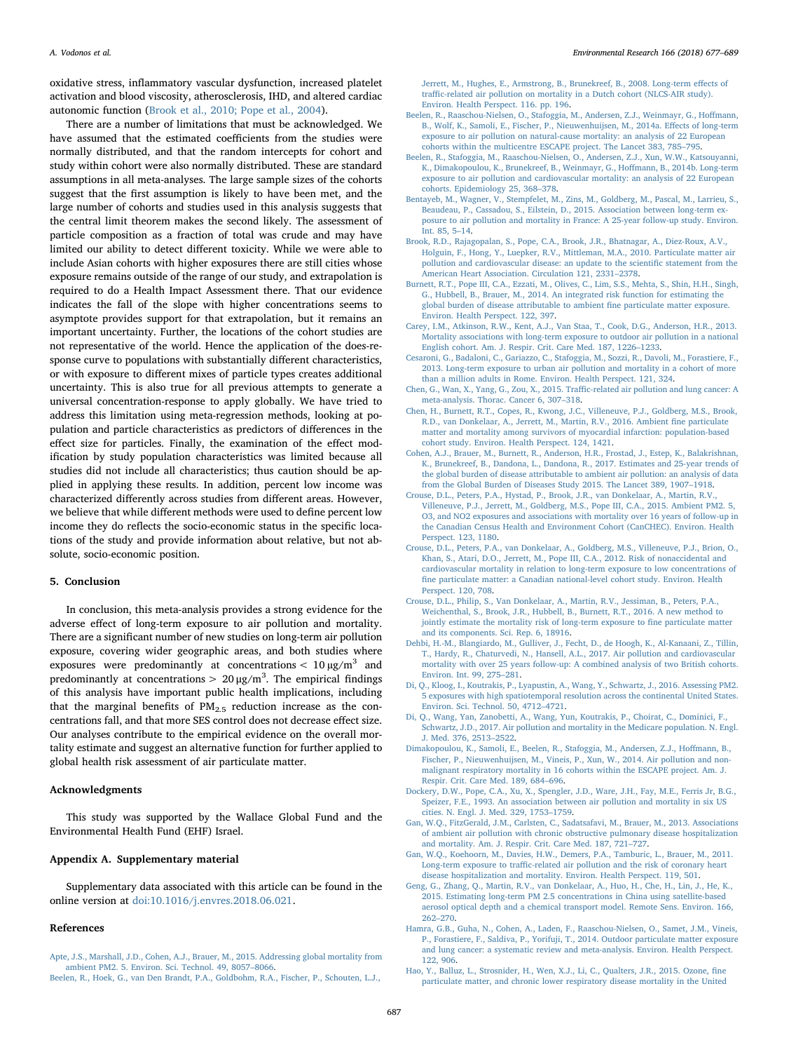A. Vodonos et al. *Environmental Research 166 (2018) 677–689*

oxidative stress, inflammatory vascular dysfunction, increased platelet activation and blood viscosity, atherosclerosis, IHD, and altered cardiac autonomic function ([Brook et al., 2010; Pope et al., 2004\)](#page-10-23).

There are a number of limitations that must be acknowledged. We have assumed that the estimated coefficients from the studies were normally distributed, and that the random intercepts for cohort and study within cohort were also normally distributed. These are standard assumptions in all meta-analyses. The large sample sizes of the cohorts suggest that the first assumption is likely to have been met, and the large number of cohorts and studies used in this analysis suggests that the central limit theorem makes the second likely. The assessment of particle composition as a fraction of total was crude and may have limited our ability to detect different toxicity. While we were able to include Asian cohorts with higher exposures there are still cities whose exposure remains outside of the range of our study, and extrapolation is required to do a Health Impact Assessment there. That our evidence indicates the fall of the slope with higher concentrations seems to asymptote provides support for that extrapolation, but it remains an important uncertainty. Further, the locations of the cohort studies are not representative of the world. Hence the application of the does-response curve to populations with substantially different characteristics, or with exposure to different mixes of particle types creates additional uncertainty. This is also true for all previous attempts to generate a universal concentration-response to apply globally. We have tried to address this limitation using meta-regression methods, looking at population and particle characteristics as predictors of differences in the effect size for particles. Finally, the examination of the effect modification by study population characteristics was limited because all studies did not include all characteristics; thus caution should be applied in applying these results. In addition, percent low income was characterized differently across studies from different areas. However, we believe that while different methods were used to define percent low income they do reflects the socio-economic status in the specific locations of the study and provide information about relative, but not absolute, socio-economic position.

# 5. Conclusion

In conclusion, this meta-analysis provides a strong evidence for the adverse effect of long-term exposure to air pollution and mortality. There are a significant number of new studies on long-term air pollution exposure, covering wider geographic areas, and both studies where exposures were predominantly at concentrations  $< 10 \mu g/m^3$  and predominantly at concentrations  $> 20 \,\mathrm{\mu g/m^3}$ . The empirical findings of this analysis have important public health implications, including that the marginal benefits of  $PM<sub>2.5</sub>$  reduction increase as the concentrations fall, and that more SES control does not decrease effect size. Our analyses contribute to the empirical evidence on the overall mortality estimate and suggest an alternative function for further applied to global health risk assessment of air particulate matter.

# Acknowledgments

This study was supported by the Wallace Global Fund and the Environmental Health Fund (EHF) Israel.

## Appendix A. Supplementary material

Supplementary data associated with this article can be found in the online version at [doi:10.1016/j.envres.2018.06.021](https://doi.org/10.1016/j.envres.2018.06.021).

#### References

<span id="page-10-20"></span>[Beelen, R., Hoek, G., van Den Brandt, P.A., Goldbohm, R.A., Fischer, P., Schouten, L.J.,](http://refhub.elsevier.com/S0013-9351(18)30325-6/sbref2)

[Jerrett, M., Hughes, E., Armstrong, B., Brunekreef, B., 2008. Long-term e](http://refhub.elsevier.com/S0013-9351(18)30325-6/sbref2)ffects of traffi[c-related air pollution on mortality in a Dutch cohort \(NLCS-AIR study\).](http://refhub.elsevier.com/S0013-9351(18)30325-6/sbref2) [Environ. Health Perspect. 116. pp. 196.](http://refhub.elsevier.com/S0013-9351(18)30325-6/sbref2)

- <span id="page-10-2"></span>[Beelen, R., Raaschou-Nielsen, O., Stafoggia, M., Andersen, Z.J., Weinmayr, G., Ho](http://refhub.elsevier.com/S0013-9351(18)30325-6/sbref3)ffmann, [B., Wolf, K., Samoli, E., Fischer, P., Nieuwenhuijsen, M., 2014a. E](http://refhub.elsevier.com/S0013-9351(18)30325-6/sbref3)ffects of long-term [exposure to air pollution on natural-cause mortality: an analysis of 22 European](http://refhub.elsevier.com/S0013-9351(18)30325-6/sbref3) [cohorts within the multicentre ESCAPE project. The Lancet 383, 785](http://refhub.elsevier.com/S0013-9351(18)30325-6/sbref3)–795.
- <span id="page-10-17"></span>[Beelen, R., Stafoggia, M., Raaschou-Nielsen, O., Andersen, Z.J., Xun, W.W., Katsouyanni,](http://refhub.elsevier.com/S0013-9351(18)30325-6/sbref4) [K., Dimakopoulou, K., Brunekreef, B., Weinmayr, G., Ho](http://refhub.elsevier.com/S0013-9351(18)30325-6/sbref4)ffmann, B., 2014b. Long-term [exposure to air pollution and cardiovascular mortality: an analysis of 22 European](http://refhub.elsevier.com/S0013-9351(18)30325-6/sbref4) [cohorts. Epidemiology 25, 368](http://refhub.elsevier.com/S0013-9351(18)30325-6/sbref4)–378.
- <span id="page-10-16"></span>[Bentayeb, M., Wagner, V., Stempfelet, M., Zins, M., Goldberg, M., Pascal, M., Larrieu, S.,](http://refhub.elsevier.com/S0013-9351(18)30325-6/sbref5) [Beaudeau, P., Cassadou, S., Eilstein, D., 2015. Association between long-term ex](http://refhub.elsevier.com/S0013-9351(18)30325-6/sbref5)[posure to air pollution and mortality in France: A 25-year follow-up study. Environ.](http://refhub.elsevier.com/S0013-9351(18)30325-6/sbref5) [Int. 85, 5](http://refhub.elsevier.com/S0013-9351(18)30325-6/sbref5)–14.
- <span id="page-10-23"></span>[Brook, R.D., Rajagopalan, S., Pope, C.A., Brook, J.R., Bhatnagar, A., Diez-Roux, A.V.,](http://refhub.elsevier.com/S0013-9351(18)30325-6/sbref6) [Holguin, F., Hong, Y., Luepker, R.V., Mittleman, M.A., 2010. Particulate matter air](http://refhub.elsevier.com/S0013-9351(18)30325-6/sbref6) [pollution and cardiovascular disease: an update to the scienti](http://refhub.elsevier.com/S0013-9351(18)30325-6/sbref6)fic statement from the [American Heart Association. Circulation 121, 2331](http://refhub.elsevier.com/S0013-9351(18)30325-6/sbref6)–2378.
- <span id="page-10-21"></span>[Burnett, R.T., Pope III, C.A., Ezzati, M., Olives, C., Lim, S.S., Mehta, S., Shin, H.H., Singh,](http://refhub.elsevier.com/S0013-9351(18)30325-6/sbref7) [G., Hubbell, B., Brauer, M., 2014. An integrated risk function for estimating the](http://refhub.elsevier.com/S0013-9351(18)30325-6/sbref7) [global burden of disease attributable to ambient](http://refhub.elsevier.com/S0013-9351(18)30325-6/sbref7) fine particulate matter exposure. [Environ. Health Perspect. 122, 397.](http://refhub.elsevier.com/S0013-9351(18)30325-6/sbref7)
- <span id="page-10-18"></span>[Carey, I.M., Atkinson, R.W., Kent, A.J., Van Staa, T., Cook, D.G., Anderson, H.R., 2013.](http://refhub.elsevier.com/S0013-9351(18)30325-6/sbref8) [Mortality associations with long-term exposure to outdoor air pollution in a national](http://refhub.elsevier.com/S0013-9351(18)30325-6/sbref8) [English cohort. Am. J. Respir. Crit. Care Med. 187, 1226](http://refhub.elsevier.com/S0013-9351(18)30325-6/sbref8)–1233.
- <span id="page-10-19"></span>[Cesaroni, G., Badaloni, C., Gariazzo, C., Stafoggia, M., Sozzi, R., Davoli, M., Forastiere, F.,](http://refhub.elsevier.com/S0013-9351(18)30325-6/sbref9) [2013. Long-term exposure to urban air pollution and mortality in a cohort of more](http://refhub.elsevier.com/S0013-9351(18)30325-6/sbref9) [than a million adults in Rome. Environ. Health Perspect. 121, 324](http://refhub.elsevier.com/S0013-9351(18)30325-6/sbref9).
- <span id="page-10-3"></span>[Chen, G., Wan, X., Yang, G., Zou, X., 2015. Tra](http://refhub.elsevier.com/S0013-9351(18)30325-6/sbref10)ffic-related air pollution and lung cancer: A meta‐[analysis. Thorac. Cancer 6, 307](http://refhub.elsevier.com/S0013-9351(18)30325-6/sbref10)–318.
- <span id="page-10-11"></span>[Chen, H., Burnett, R.T., Copes, R., Kwong, J.C., Villeneuve, P.J., Goldberg, M.S., Brook,](http://refhub.elsevier.com/S0013-9351(18)30325-6/sbref11) [R.D., van Donkelaar, A., Jerrett, M., Martin, R.V., 2016. Ambient](http://refhub.elsevier.com/S0013-9351(18)30325-6/sbref11) fine particulate [matter and mortality among survivors of myocardial infarction: population-based](http://refhub.elsevier.com/S0013-9351(18)30325-6/sbref11) [cohort study. Environ. Health Perspect. 124, 1421.](http://refhub.elsevier.com/S0013-9351(18)30325-6/sbref11)
- [Cohen, A.J., Brauer, M., Burnett, R., Anderson, H.R., Frostad, J., Estep, K., Balakrishnan,](http://refhub.elsevier.com/S0013-9351(18)30325-6/sbref12) [K., Brunekreef, B., Dandona, L., Dandona, R., 2017. Estimates and 25-year trends of](http://refhub.elsevier.com/S0013-9351(18)30325-6/sbref12) [the global burden of disease attributable to ambient air pollution: an analysis of data](http://refhub.elsevier.com/S0013-9351(18)30325-6/sbref12) [from the Global Burden of Diseases Study 2015. The Lancet 389, 1907](http://refhub.elsevier.com/S0013-9351(18)30325-6/sbref12)–1918.
- <span id="page-10-5"></span>[Crouse, D.L., Peters, P.A., Hystad, P., Brook, J.R., van Donkelaar, A., Martin, R.V.,](http://refhub.elsevier.com/S0013-9351(18)30325-6/sbref13) [Villeneuve, P.J., Jerrett, M., Goldberg, M.S., Pope III, C.A., 2015. Ambient PM2. 5,](http://refhub.elsevier.com/S0013-9351(18)30325-6/sbref13) [O3, and NO2 exposures and associations with mortality over 16 years of follow-up in](http://refhub.elsevier.com/S0013-9351(18)30325-6/sbref13) [the Canadian Census Health and Environment Cohort \(CanCHEC\). Environ. Health](http://refhub.elsevier.com/S0013-9351(18)30325-6/sbref13) [Perspect. 123, 1180](http://refhub.elsevier.com/S0013-9351(18)30325-6/sbref13).
- <span id="page-10-14"></span>[Crouse, D.L., Peters, P.A., van Donkelaar, A., Goldberg, M.S., Villeneuve, P.J., Brion, O.,](http://refhub.elsevier.com/S0013-9351(18)30325-6/sbref14) [Khan, S., Atari, D.O., Jerrett, M., Pope III, C.A., 2012. Risk of nonaccidental and](http://refhub.elsevier.com/S0013-9351(18)30325-6/sbref14) [cardiovascular mortality in relation to long-term exposure to low concentrations of](http://refhub.elsevier.com/S0013-9351(18)30325-6/sbref14) fi[ne particulate matter: a Canadian national-level cohort study. Environ. Health](http://refhub.elsevier.com/S0013-9351(18)30325-6/sbref14) [Perspect. 120, 708.](http://refhub.elsevier.com/S0013-9351(18)30325-6/sbref14)
- <span id="page-10-15"></span>Crouse, [D.L., Philip, S., Van Donkelaar, A., Martin, R.V., Jessiman, B., Peters, P.A.,](http://refhub.elsevier.com/S0013-9351(18)30325-6/sbref15) [Weichenthal, S., Brook, J.R., Hubbell, B., Burnett, R.T., 2016. A new method to](http://refhub.elsevier.com/S0013-9351(18)30325-6/sbref15) [jointly estimate the mortality risk of long-term exposure to](http://refhub.elsevier.com/S0013-9351(18)30325-6/sbref15) fine particulate matter [and its components. Sci. Rep. 6, 18916](http://refhub.elsevier.com/S0013-9351(18)30325-6/sbref15).
- <span id="page-10-7"></span>[Dehbi, H.-M., Blangiardo, M., Gulliver, J., Fecht, D., de Hoogh, K., Al-Kanaani, Z., Tillin,](http://refhub.elsevier.com/S0013-9351(18)30325-6/sbref16) [T., Hardy, R., Chaturvedi, N., Hansell, A.L., 2017. Air pollution and cardiovascular](http://refhub.elsevier.com/S0013-9351(18)30325-6/sbref16) [mortality with over 25 years follow-up: A combined analysis of two British cohorts.](http://refhub.elsevier.com/S0013-9351(18)30325-6/sbref16) [Environ. Int. 99, 275](http://refhub.elsevier.com/S0013-9351(18)30325-6/sbref16)–281.
- <span id="page-10-9"></span>[Di, Q., Kloog, I., Koutrakis, P., Lyapustin, A., Wang, Y., Schwartz, J., 2016. Assessing PM2.](http://refhub.elsevier.com/S0013-9351(18)30325-6/sbref17) [5 exposures with high spatiotemporal resolution across the continental United States.](http://refhub.elsevier.com/S0013-9351(18)30325-6/sbref17) [Environ. Sci. Technol. 50, 4712](http://refhub.elsevier.com/S0013-9351(18)30325-6/sbref17)–4721.
- <span id="page-10-1"></span>[Di, Q., Wang, Yan, Zanobetti, A., Wang, Yun, Koutrakis, P., Choirat, C., Dominici, F.,](http://refhub.elsevier.com/S0013-9351(18)30325-6/sbref18) [Schwartz, J.D., 2017. Air pollution and mortality in the Medicare population. N. Engl.](http://refhub.elsevier.com/S0013-9351(18)30325-6/sbref18) [J. Med. 376, 2513](http://refhub.elsevier.com/S0013-9351(18)30325-6/sbref18)–2522.
- <span id="page-10-8"></span>[Dimakopoulou, K., Samoli, E., Beelen, R., Stafoggia, M., Andersen, Z.J., Ho](http://refhub.elsevier.com/S0013-9351(18)30325-6/sbref19)ffmann, B., [Fischer, P., Nieuwenhuijsen, M., Vineis, P., Xun, W., 2014. Air pollution and non](http://refhub.elsevier.com/S0013-9351(18)30325-6/sbref19)[malignant respiratory mortality in 16 cohorts within the ESCAPE project. Am. J.](http://refhub.elsevier.com/S0013-9351(18)30325-6/sbref19) [Respir. Crit. Care Med. 189, 684](http://refhub.elsevier.com/S0013-9351(18)30325-6/sbref19)–696.
- <span id="page-10-0"></span>[Dockery, D.W., Pope, C.A., Xu, X., Spengler, J.D., Ware, J.H., Fay, M.E., Ferris Jr, B.G.,](http://refhub.elsevier.com/S0013-9351(18)30325-6/sbref20) [Speizer, F.E., 1993. An association between air pollution and mortality in six US](http://refhub.elsevier.com/S0013-9351(18)30325-6/sbref20) [cities. N. Engl. J. Med. 329, 1753](http://refhub.elsevier.com/S0013-9351(18)30325-6/sbref20)–1759.
- <span id="page-10-12"></span>[Gan, W.Q., FitzGerald, J.M., Carlsten, C., Sadatsafavi, M., Brauer, M., 2013. Associations](http://refhub.elsevier.com/S0013-9351(18)30325-6/sbref21) [of ambient air pollution with chronic obstructive pulmonary disease hospitalization](http://refhub.elsevier.com/S0013-9351(18)30325-6/sbref21) [and mortality. Am. J. Respir. Crit. Care Med. 187, 721](http://refhub.elsevier.com/S0013-9351(18)30325-6/sbref21)–727.
- <span id="page-10-13"></span>[Gan, W.Q., Koehoorn, M., Davies, H.W., Demers, P.A., Tamburic, L., Brauer, M., 2011.](http://refhub.elsevier.com/S0013-9351(18)30325-6/sbref22) Long-term exposure to traffi[c-related air pollution and the risk of coronary heart](http://refhub.elsevier.com/S0013-9351(18)30325-6/sbref22) [disease hospitalization and mortality. Environ. Health Perspect. 119, 501](http://refhub.elsevier.com/S0013-9351(18)30325-6/sbref22).
- <span id="page-10-10"></span>[Geng, G., Zhang, Q., Martin, R.V., van Donkelaar, A., Huo, H., Che, H., Lin, J., He, K.,](http://refhub.elsevier.com/S0013-9351(18)30325-6/sbref23) [2015. Estimating long-term PM 2.5 concentrations in China using satellite-based](http://refhub.elsevier.com/S0013-9351(18)30325-6/sbref23) [aerosol optical depth and a chemical transport model. Remote Sens. Environ. 166,](http://refhub.elsevier.com/S0013-9351(18)30325-6/sbref23) 262–[270](http://refhub.elsevier.com/S0013-9351(18)30325-6/sbref23).
- <span id="page-10-4"></span>[Hamra, G.B., Guha, N., Cohen, A., Laden, F., Raaschou-Nielsen, O., Samet, J.M., Vineis,](http://refhub.elsevier.com/S0013-9351(18)30325-6/sbref24) [P., Forastiere, F., Saldiva, P., Yorifuji, T., 2014. Outdoor particulate matter exposure](http://refhub.elsevier.com/S0013-9351(18)30325-6/sbref24) [and lung cancer: a systematic review and meta-analysis. Environ. Health Perspect.](http://refhub.elsevier.com/S0013-9351(18)30325-6/sbref24) [122, 906](http://refhub.elsevier.com/S0013-9351(18)30325-6/sbref24).
- <span id="page-10-6"></span>[Hao, Y., Balluz, L., Strosnider, H., Wen, X.J., Li, C., Qualters, J.R., 2015. Ozone,](http://refhub.elsevier.com/S0013-9351(18)30325-6/sbref25) fine [particulate matter, and chronic lower respiratory disease mortality in the United](http://refhub.elsevier.com/S0013-9351(18)30325-6/sbref25)

<span id="page-10-22"></span>[Apte, J.S., Marshall, J.D., Cohen, A.J., Brauer, M., 2015. Addressing global mortality from](http://refhub.elsevier.com/S0013-9351(18)30325-6/sbref1) [ambient PM2. 5. Environ. Sci. Technol. 49, 8057](http://refhub.elsevier.com/S0013-9351(18)30325-6/sbref1)–8066.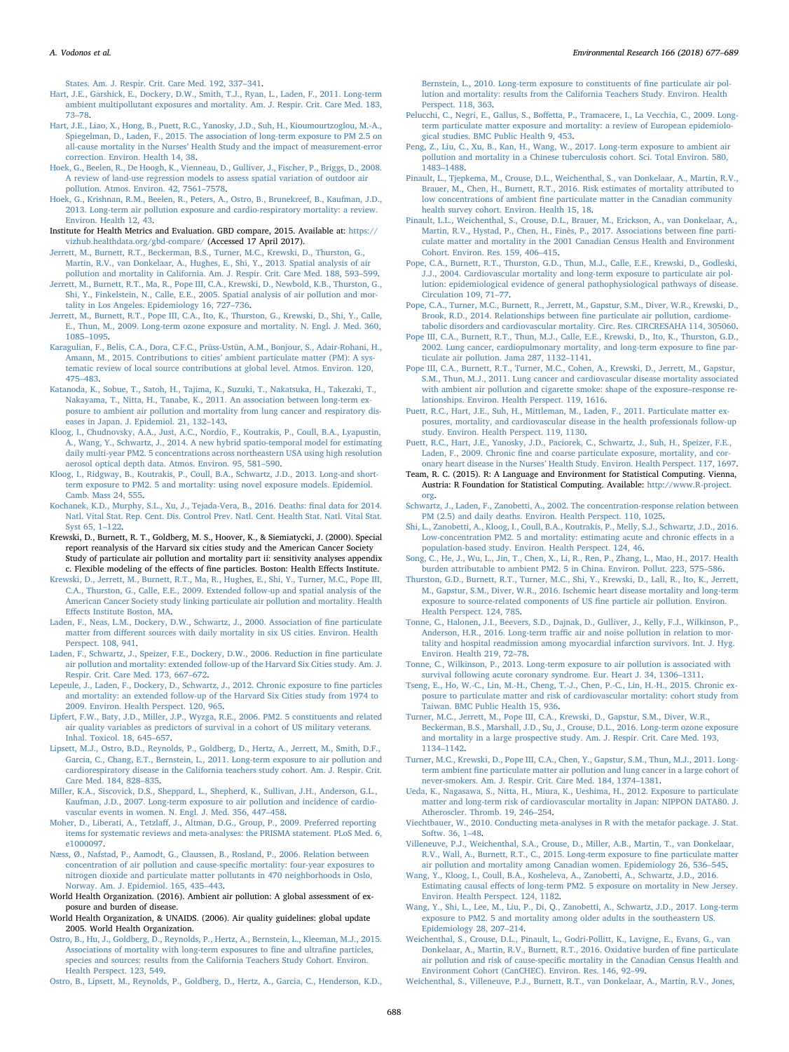[States. Am. J. Respir. Crit. Care Med. 192, 337](http://refhub.elsevier.com/S0013-9351(18)30325-6/sbref25)–341.

- <span id="page-11-44"></span>[Hart, J.E., Garshick, E., Dockery, D.W., Smith, T.J., Ryan, L., Laden, F., 2011. Long-term](http://refhub.elsevier.com/S0013-9351(18)30325-6/sbref26) [ambient multipollutant exposures and mortality. Am. J. Respir. Crit. Care Med. 183,](http://refhub.elsevier.com/S0013-9351(18)30325-6/sbref26) 73–[78](http://refhub.elsevier.com/S0013-9351(18)30325-6/sbref26).
- <span id="page-11-2"></span>[Hart, J.E., Liao, X., Hong, B., Puett, R.C., Yanosky, J.D., Suh, H., Kioumourtzoglou, M.-A.,](http://refhub.elsevier.com/S0013-9351(18)30325-6/sbref27) [Spiegelman, D., Laden, F., 2015. The association of long-term exposure to PM 2.5 on](http://refhub.elsevier.com/S0013-9351(18)30325-6/sbref27) all-cause mortality in the Nurses' [Health Study and the impact of measurement-error](http://refhub.elsevier.com/S0013-9351(18)30325-6/sbref27) [correction. Environ. Health 14, 38.](http://refhub.elsevier.com/S0013-9351(18)30325-6/sbref27)
- <span id="page-11-11"></span>[Hoek, G., Beelen, R., De Hoogh, K., Vienneau, D., Gulliver, J., Fischer, P., Briggs, D., 2008.](http://refhub.elsevier.com/S0013-9351(18)30325-6/sbref28) [A review of land-use regression models to assess spatial variation of outdoor air](http://refhub.elsevier.com/S0013-9351(18)30325-6/sbref28) [pollution. Atmos. Environ. 42, 7561](http://refhub.elsevier.com/S0013-9351(18)30325-6/sbref28)–7578.
- <span id="page-11-46"></span>[Hoek, G., Krishnan, R.M., Beelen, R., Peters, A., Ostro, B., Brunekreef, B., Kaufman, J.D.,](http://refhub.elsevier.com/S0013-9351(18)30325-6/sbref29) [2013. Long-term air pollution exposure and cardio-respiratory mortality: a review.](http://refhub.elsevier.com/S0013-9351(18)30325-6/sbref29) [Environ. Health 12, 43.](http://refhub.elsevier.com/S0013-9351(18)30325-6/sbref29)
- <span id="page-11-10"></span>Institute for Health Metrics and Evaluation. GBD compare, 2015. Available at: [https://](https://vizhub.healthdata.org/gbd-compare/) [vizhub.healthdata.org/gbd-compare/](https://vizhub.healthdata.org/gbd-compare/) (Accessed 17 April 2017).
- <span id="page-11-24"></span>[Jerrett, M., Burnett, R.T., Beckerman, B.S., Turner, M.C., Krewski, D., Thurston, G.,](http://refhub.elsevier.com/S0013-9351(18)30325-6/sbref30) [Martin, R.V., van Donkelaar, A., Hughes, E., Shi, Y., 2013. Spatial analysis of air](http://refhub.elsevier.com/S0013-9351(18)30325-6/sbref30) [pollution and mortality in California. Am. J. Respir. Crit. Care Med. 188, 593](http://refhub.elsevier.com/S0013-9351(18)30325-6/sbref30)–599.
- <span id="page-11-29"></span>[Jerrett, M., Burnett, R.T., Ma, R., Pope III, C.A., Krewski, D., Newbold, K.B., Thurston, G.,](http://refhub.elsevier.com/S0013-9351(18)30325-6/sbref31) [Shi, Y., Finkelstein, N., Calle, E.E., 2005. Spatial analysis of air pollution and mor](http://refhub.elsevier.com/S0013-9351(18)30325-6/sbref31)[tality in Los Angeles. Epidemiology 16, 727](http://refhub.elsevier.com/S0013-9351(18)30325-6/sbref31)–736.
- <span id="page-11-28"></span>[Jerrett, M., Burnett, R.T., Pope III, C.A., Ito, K., Thurston, G., Krewski, D., Shi, Y., Calle,](http://refhub.elsevier.com/S0013-9351(18)30325-6/sbref32) [E., Thun, M., 2009. Long-term ozone exposure and mortality. N. Engl. J. Med. 360,](http://refhub.elsevier.com/S0013-9351(18)30325-6/sbref32) [1085](http://refhub.elsevier.com/S0013-9351(18)30325-6/sbref32)–1095.
- <span id="page-11-15"></span>[Karagulian, F., Belis, C.A., Dora, C.F.C., Prüss-Ustün, A.M., Bonjour, S., Adair-Rohani, H.,](http://refhub.elsevier.com/S0013-9351(18)30325-6/sbref33) [Amann, M., 2015. Contributions to cities](http://refhub.elsevier.com/S0013-9351(18)30325-6/sbref33)' ambient particulate matter (PM): A sys[tematic review of local source contributions at global level. Atmos. Environ. 120,](http://refhub.elsevier.com/S0013-9351(18)30325-6/sbref33) 475–[483](http://refhub.elsevier.com/S0013-9351(18)30325-6/sbref33).
- <span id="page-11-4"></span>[Katanoda, K., Sobue, T., Satoh, H., Tajima, K., Suzuki, T., Nakatsuka, H., Takezaki, T.,](http://refhub.elsevier.com/S0013-9351(18)30325-6/sbref34) [Nakayama, T., Nitta, H., Tanabe, K., 2011. An association between long-term ex](http://refhub.elsevier.com/S0013-9351(18)30325-6/sbref34)[posure to ambient air pollution and mortality from lung cancer and respiratory dis](http://refhub.elsevier.com/S0013-9351(18)30325-6/sbref34)[eases in Japan. J. Epidemiol. 21, 132](http://refhub.elsevier.com/S0013-9351(18)30325-6/sbref34)–143.
- [Kloog, I., Chudnovsky, A.A., Just, A.C., Nordio, F., Koutrakis, P., Coull, B.A., Lyapustin,](http://refhub.elsevier.com/S0013-9351(18)30325-6/sbref35) [A., Wang, Y., Schwartz, J., 2014. A new hybrid spatio-temporal model for estimating](http://refhub.elsevier.com/S0013-9351(18)30325-6/sbref35) [daily multi-year PM2. 5 concentrations across northeastern USA using high resolution](http://refhub.elsevier.com/S0013-9351(18)30325-6/sbref35) [aerosol optical depth data. Atmos. Environ. 95, 581](http://refhub.elsevier.com/S0013-9351(18)30325-6/sbref35)–590.
- <span id="page-11-20"></span>[Kloog, I., Ridgway, B., Koutrakis, P., Coull, B.A., Schwartz, J.D., 2013. Long-and short](http://refhub.elsevier.com/S0013-9351(18)30325-6/sbref36)[term exposure to PM2. 5 and mortality: using novel exposure models. Epidemiol.](http://refhub.elsevier.com/S0013-9351(18)30325-6/sbref36) [Camb. Mass 24, 555.](http://refhub.elsevier.com/S0013-9351(18)30325-6/sbref36)
- <span id="page-11-8"></span>[Kochanek, K.D., Murphy, S.L., Xu, J., Tejada-Vera, B., 2016. Deaths:](http://refhub.elsevier.com/S0013-9351(18)30325-6/sbref37) final data for 2014. [Natl. Vital Stat. Rep. Cent. Dis. Control Prev. Natl. Cent. Health Stat. Natl. Vital Stat.](http://refhub.elsevier.com/S0013-9351(18)30325-6/sbref37) [Syst 65, 1](http://refhub.elsevier.com/S0013-9351(18)30325-6/sbref37)–122.
- <span id="page-11-39"></span>Krewski, D., Burnett, R. T., Goldberg, M. S., Hoover, K., & Siemiatycki, J. (2000). Special report reanalysis of the Harvard six cities study and the American Cancer Society Study of particulate air pollution and mortality part ii: sensitivity analyses appendix c. Flexible modeling of the effects of fine particles. Boston: Health Effects Institute.
- <span id="page-11-27"></span>[Krewski, D., Jerrett, M., Burnett, R.T., Ma, R., Hughes, E., Shi, Y., Turner, M.C., Pope III,](http://refhub.elsevier.com/S0013-9351(18)30325-6/sbref38) [C.A., Thurston, G., Calle, E.E., 2009. Extended follow-up and spatial analysis of the](http://refhub.elsevier.com/S0013-9351(18)30325-6/sbref38) [American Cancer Society study linking particulate air pollution and mortality. Health](http://refhub.elsevier.com/S0013-9351(18)30325-6/sbref38) Eff[ects Institute Boston, MA.](http://refhub.elsevier.com/S0013-9351(18)30325-6/sbref38)
- <span id="page-11-47"></span>[Laden, F., Neas, L.M., Dockery, D.W., Schwartz, J., 2000. Association of](http://refhub.elsevier.com/S0013-9351(18)30325-6/sbref39) fine particulate matter from different [sources with daily mortality in six US cities. Environ. Health](http://refhub.elsevier.com/S0013-9351(18)30325-6/sbref39) [Perspect. 108, 941.](http://refhub.elsevier.com/S0013-9351(18)30325-6/sbref39)
- <span id="page-11-38"></span>[Laden, F., Schwartz, J., Speizer, F.E., Dockery, D.W., 2006. Reduction in](http://refhub.elsevier.com/S0013-9351(18)30325-6/sbref40) fine particulate [air pollution and mortality: extended follow-up of the Harvard Six Cities study. Am. J.](http://refhub.elsevier.com/S0013-9351(18)30325-6/sbref40) [Respir. Crit. Care Med. 173, 667](http://refhub.elsevier.com/S0013-9351(18)30325-6/sbref40)–672.
- <span id="page-11-37"></span>[Lepeule, J., Laden, F., Dockery, D., Schwartz, J., 2012. Chronic exposure to](http://refhub.elsevier.com/S0013-9351(18)30325-6/sbref41) fine particles [and mortality: an extended follow-up of the Harvard Six Cities study from 1974 to](http://refhub.elsevier.com/S0013-9351(18)30325-6/sbref41) [2009. Environ. Health Perspect. 120, 965.](http://refhub.elsevier.com/S0013-9351(18)30325-6/sbref41)
- <span id="page-11-19"></span>[Lipfert, F.W., Baty, J.D., Miller, J.P., Wyzga, R.E., 2006. PM2. 5 constituents and related](http://refhub.elsevier.com/S0013-9351(18)30325-6/sbref42) [air quality variables as predictors of survival in a cohort of US military veterans.](http://refhub.elsevier.com/S0013-9351(18)30325-6/sbref42) [Inhal. Toxicol. 18, 645](http://refhub.elsevier.com/S0013-9351(18)30325-6/sbref42)–657.
- <span id="page-11-36"></span>[Lipsett, M.J., Ostro, B.D., Reynolds, P., Goldberg, D., Hertz, A., Jerrett, M., Smith, D.F.,](http://refhub.elsevier.com/S0013-9351(18)30325-6/sbref43) [Garcia, C., Chang, E.T., Bernstein, L., 2011. Long-term exposure to air pollution and](http://refhub.elsevier.com/S0013-9351(18)30325-6/sbref43) [cardiorespiratory disease in the California teachers study cohort. Am. J. Respir. Crit.](http://refhub.elsevier.com/S0013-9351(18)30325-6/sbref43) [Care Med. 184, 828](http://refhub.elsevier.com/S0013-9351(18)30325-6/sbref43)–835.
- <span id="page-11-1"></span>[Miller, K.A., Siscovick, D.S., Sheppard, L., Shepherd, K., Sullivan, J.H., Anderson, G.L.,](http://refhub.elsevier.com/S0013-9351(18)30325-6/sbref44) [Kaufman, J.D., 2007. Long-term exposure to air pollution and incidence of cardio](http://refhub.elsevier.com/S0013-9351(18)30325-6/sbref44)[vascular events in women. N. Engl. J. Med. 356, 447](http://refhub.elsevier.com/S0013-9351(18)30325-6/sbref44)–458.
- <span id="page-11-12"></span>Moher, D., Liberati, A., Tetzlaff[, J., Altman, D.G., Group, P., 2009. Preferred reporting](http://refhub.elsevier.com/S0013-9351(18)30325-6/sbref45) [items for systematic reviews and meta-analyses: the PRISMA statement. PLoS Med. 6,](http://refhub.elsevier.com/S0013-9351(18)30325-6/sbref45) [e1000097.](http://refhub.elsevier.com/S0013-9351(18)30325-6/sbref45)
- <span id="page-11-16"></span>[Næss, Ø., Nafstad, P., Aamodt, G., Claussen, B., Rosland, P., 2006. Relation between](http://refhub.elsevier.com/S0013-9351(18)30325-6/sbref46) [concentration of air pollution and cause-speci](http://refhub.elsevier.com/S0013-9351(18)30325-6/sbref46)fic mortality: four-year exposures to [nitrogen dioxide and particulate matter pollutants in 470 neighborhoods in Oslo,](http://refhub.elsevier.com/S0013-9351(18)30325-6/sbref46) [Norway. Am. J. Epidemiol. 165, 435](http://refhub.elsevier.com/S0013-9351(18)30325-6/sbref46)–443.
- <span id="page-11-9"></span>World Health Organization. (2016). Ambient air pollution: A global assessment of exposure and burden of disease.
- <span id="page-11-3"></span>World Health Organization, & UNAIDS. (2006). Air quality guidelines: global update 2005. World Health Organization.
- <span id="page-11-34"></span>[Ostro, B., Hu, J., Goldberg, D., Reynolds, P., Hertz, A., Bernstein, L., Kleeman, M.J., 2015.](http://refhub.elsevier.com/S0013-9351(18)30325-6/sbref47) [Associations of mortality with long-term exposures to](http://refhub.elsevier.com/S0013-9351(18)30325-6/sbref47) fine and ultrafine particles, [species and sources: results from the California Teachers Study Cohort. Environ.](http://refhub.elsevier.com/S0013-9351(18)30325-6/sbref47) [Health Perspect. 123, 549.](http://refhub.elsevier.com/S0013-9351(18)30325-6/sbref47)
- <span id="page-11-35"></span>[Ostro, B., Lipsett, M., Reynolds, P., Goldberg, D., Hertz, A., Garcia, C., Henderson, K.D.,](http://refhub.elsevier.com/S0013-9351(18)30325-6/sbref48)

[Bernstein, L., 2010. Long-term exposure to constituents of](http://refhub.elsevier.com/S0013-9351(18)30325-6/sbref48) fine particulate air pol[lution and mortality: results from the California Teachers Study. Environ. Health](http://refhub.elsevier.com/S0013-9351(18)30325-6/sbref48) [Perspect. 118, 363.](http://refhub.elsevier.com/S0013-9351(18)30325-6/sbref48)

- Pelucchi, C., Negri, E., Gallus, S., Boff[etta, P., Tramacere, I., La Vecchia, C., 2009. Long](http://refhub.elsevier.com/S0013-9351(18)30325-6/sbref49)[term particulate matter exposure and mortality: a review of European epidemiolo](http://refhub.elsevier.com/S0013-9351(18)30325-6/sbref49)[gical studies. BMC Public Health 9, 453](http://refhub.elsevier.com/S0013-9351(18)30325-6/sbref49).
- <span id="page-11-17"></span>[Peng, Z., Liu, C., Xu, B., Kan, H., Wang, W., 2017. Long-term exposure to ambient air](http://refhub.elsevier.com/S0013-9351(18)30325-6/sbref50) [pollution and mortality in a Chinese tuberculosis cohort. Sci. Total Environ. 580,](http://refhub.elsevier.com/S0013-9351(18)30325-6/sbref50) 1483–[1488](http://refhub.elsevier.com/S0013-9351(18)30325-6/sbref50).
- <span id="page-11-7"></span>[Pinault, L., Tjepkema, M., Crouse, D.L., Weichenthal, S., van Donkelaar, A., Martin, R.V.,](http://refhub.elsevier.com/S0013-9351(18)30325-6/sbref51) [Brauer, M., Chen, H., Burnett, R.T., 2016. Risk estimates of mortality attributed to](http://refhub.elsevier.com/S0013-9351(18)30325-6/sbref51) low concentrations of ambient fi[ne particulate matter in the Canadian community](http://refhub.elsevier.com/S0013-9351(18)30325-6/sbref51) [health survey cohort. Environ. Health 15, 18.](http://refhub.elsevier.com/S0013-9351(18)30325-6/sbref51)
- <span id="page-11-6"></span>[Pinault, L.L., Weichenthal, S., Crouse, D.L., Brauer, M., Erickson, A., van Donkelaar, A.,](http://refhub.elsevier.com/S0013-9351(18)30325-6/sbref52) [Martin, R.V., Hystad, P., Chen, H., Finès, P., 2017. Associations between](http://refhub.elsevier.com/S0013-9351(18)30325-6/sbref52) fine parti[culate matter and mortality in the 2001 Canadian Census Health and Environment](http://refhub.elsevier.com/S0013-9351(18)30325-6/sbref52) [Cohort. Environ. Res. 159, 406](http://refhub.elsevier.com/S0013-9351(18)30325-6/sbref52)–415.
- <span id="page-11-30"></span>[Pope, C.A., Burnett, R.T., Thurston, G.D., Thun, M.J., Calle, E.E., Krewski, D., Godleski,](http://refhub.elsevier.com/S0013-9351(18)30325-6/sbref53) [J.J., 2004. Cardiovascular mortality and long-term exposure to particulate air pol](http://refhub.elsevier.com/S0013-9351(18)30325-6/sbref53)[lution: epidemiological evidence of general pathophysiological pathways of disease.](http://refhub.elsevier.com/S0013-9351(18)30325-6/sbref53) [Circulation 109, 71](http://refhub.elsevier.com/S0013-9351(18)30325-6/sbref53)–77.
- <span id="page-11-23"></span>Pope, [C.A., Turner, M.C., Burnett, R., Jerrett, M., Gapstur, S.M., Diver, W.R., Krewski, D.,](http://refhub.elsevier.com/S0013-9351(18)30325-6/sbref54) [Brook, R.D., 2014. Relationships between](http://refhub.elsevier.com/S0013-9351(18)30325-6/sbref54) fine particulate air pollution, cardiome[tabolic disorders and cardiovascular mortality. Circ. Res. CIRCRESAHA 114, 305060.](http://refhub.elsevier.com/S0013-9351(18)30325-6/sbref54)
- <span id="page-11-0"></span>[Pope III, C.A., Burnett, R.T., Thun, M.J., Calle, E.E., Krewski, D., Ito, K., Thurston, G.D.,](http://refhub.elsevier.com/S0013-9351(18)30325-6/sbref55) [2002. Lung cancer, cardiopulmonary mortality, and long-term exposure to](http://refhub.elsevier.com/S0013-9351(18)30325-6/sbref55) fine par[ticulate air pollution. Jama 287, 1132](http://refhub.elsevier.com/S0013-9351(18)30325-6/sbref55)–1141.
- [Pope III, C.A., Burnett, R.T., Turner, M.C., Cohen, A., Krewski, D., Jerrett, M., Gapstur,](http://refhub.elsevier.com/S0013-9351(18)30325-6/sbref56) [S.M., Thun, M.J., 2011. Lung cancer and cardiovascular disease mortality associated](http://refhub.elsevier.com/S0013-9351(18)30325-6/sbref56) [with ambient air pollution and cigarette smoke: shape of the exposure](http://refhub.elsevier.com/S0013-9351(18)30325-6/sbref56)–response re[lationships. Environ. Health Perspect. 119, 1616.](http://refhub.elsevier.com/S0013-9351(18)30325-6/sbref56)
- <span id="page-11-40"></span>[Puett, R.C., Hart, J.E., Suh, H., Mittleman, M., Laden, F., 2011. Particulate matter ex](http://refhub.elsevier.com/S0013-9351(18)30325-6/sbref57)[posures, mortality, and cardiovascular disease in the health professionals follow-up](http://refhub.elsevier.com/S0013-9351(18)30325-6/sbref57) [study. Environ. Health Perspect. 119, 1130](http://refhub.elsevier.com/S0013-9351(18)30325-6/sbref57).
- <span id="page-11-43"></span>[Puett, R.C., Hart, J.E., Yanosky, J.D., Paciorek, C., Schwartz, J., Suh, H., Speizer, F.E.,](http://refhub.elsevier.com/S0013-9351(18)30325-6/sbref58) Laden, F., 2009. Chronic fi[ne and coarse particulate exposure, mortality, and cor](http://refhub.elsevier.com/S0013-9351(18)30325-6/sbref58)onary heart disease in the Nurses' [Health Study. Environ. Health Perspect. 117, 1697.](http://refhub.elsevier.com/S0013-9351(18)30325-6/sbref58)
- <span id="page-11-14"></span>Team, R. C. (2015). R: A Language and Environment for Statistical Computing. Vienna, Austria: R Foundation for Statistical Computing. Available: [http://www.R-project.](http://www.R-project.org) [org.](http://www.R-project.org)
- <span id="page-11-48"></span>[Schwartz, J., Laden, F., Zanobetti, A., 2002. The concentration-response relation between](http://refhub.elsevier.com/S0013-9351(18)30325-6/sbref59) [PM \(2.5\) and daily deaths. Environ. Health Perspect. 110, 1025.](http://refhub.elsevier.com/S0013-9351(18)30325-6/sbref59)
- <span id="page-11-22"></span>[Shi, L., Zanobetti, A., Kloog, I., Coull, B.A., Koutrakis, P., Melly, S.J., Schwartz, J.D., 2016.](http://refhub.elsevier.com/S0013-9351(18)30325-6/sbref60) [Low-concentration PM2. 5 and mortality: estimating acute and chronic e](http://refhub.elsevier.com/S0013-9351(18)30325-6/sbref60)ffects in a [population-based study. Environ. Health Perspect. 124, 46](http://refhub.elsevier.com/S0013-9351(18)30325-6/sbref60).
- [Song, C., He, J., Wu, L., Jin, T., Chen, X., Li, R., Ren, P., Zhang, L., Mao, H., 2017. Health](http://refhub.elsevier.com/S0013-9351(18)30325-6/sbref61) [burden attributable to ambient PM2. 5 in China. Environ. Pollut. 223, 575](http://refhub.elsevier.com/S0013-9351(18)30325-6/sbref61)–586.
- <span id="page-11-42"></span>[Thurston, G.D., Burnett, R.T., Turner, M.C., Shi, Y., Krewski, D., Lall, R., Ito, K., Jerrett,](http://refhub.elsevier.com/S0013-9351(18)30325-6/sbref62) [M., Gapstur, S.M., Diver, W.R., 2016. Ischemic heart disease mortality and long-term](http://refhub.elsevier.com/S0013-9351(18)30325-6/sbref62) [exposure to source-related components of US](http://refhub.elsevier.com/S0013-9351(18)30325-6/sbref62) fine particle air pollution. Environ. [Health Perspect. 124, 785.](http://refhub.elsevier.com/S0013-9351(18)30325-6/sbref62)
- <span id="page-11-18"></span>[Tonne, C., Halonen, J.I., Beevers, S.D., Dajnak, D., Gulliver, J., Kelly, F.J., Wilkinson, P.,](http://refhub.elsevier.com/S0013-9351(18)30325-6/sbref63) Anderson, H.R., 2016. Long-term traffi[c air and noise pollution in relation to mor](http://refhub.elsevier.com/S0013-9351(18)30325-6/sbref63)[tality and hospital readmission among myocardial infarction survivors. Int. J. Hyg.](http://refhub.elsevier.com/S0013-9351(18)30325-6/sbref63) [Environ. Health 219, 72](http://refhub.elsevier.com/S0013-9351(18)30325-6/sbref63)–78.
- [Tonne, C., Wilkinson, P., 2013. Long-term exposure to air pollution is associated with](http://refhub.elsevier.com/S0013-9351(18)30325-6/sbref64) [survival following acute coronary syndrome. Eur. Heart J. 34, 1306](http://refhub.elsevier.com/S0013-9351(18)30325-6/sbref64)–1311.
- <span id="page-11-45"></span>[Tseng, E., Ho, W.-C., Lin, M.-H., Cheng, T.-J., Chen, P.-C., Lin, H.-H., 2015. Chronic ex](http://refhub.elsevier.com/S0013-9351(18)30325-6/sbref65)[posure to particulate matter and risk of cardiovascular mortality: cohort study from](http://refhub.elsevier.com/S0013-9351(18)30325-6/sbref65) [Taiwan. BMC Public Health 15, 936](http://refhub.elsevier.com/S0013-9351(18)30325-6/sbref65).
- <span id="page-11-25"></span>[Turner, M.C., Jerrett, M., Pope III, C.A., Krewski, D., Gapstur, S.M., Diver, W.R.,](http://refhub.elsevier.com/S0013-9351(18)30325-6/sbref66) [Beckerman, B.S., Marshall, J.D., Su, J., Crouse, D.L., 2016. Long-term ozone exposure](http://refhub.elsevier.com/S0013-9351(18)30325-6/sbref66) [and mortality in a large prospective study. Am. J. Respir. Crit. Care Med. 193,](http://refhub.elsevier.com/S0013-9351(18)30325-6/sbref66) 1134–[1142](http://refhub.elsevier.com/S0013-9351(18)30325-6/sbref66).
- <span id="page-11-26"></span>[Turner, M.C., Krewski, D., Pope III, C.A., Chen, Y., Gapstur, S.M., Thun, M.J., 2011. Long](http://refhub.elsevier.com/S0013-9351(18)30325-6/sbref67)term ambient fi[ne particulate matter air pollution and lung cancer in a large cohort of](http://refhub.elsevier.com/S0013-9351(18)30325-6/sbref67) [never-smokers. Am. J. Respir. Crit. Care Med. 184, 1374](http://refhub.elsevier.com/S0013-9351(18)30325-6/sbref67)–1381.
- <span id="page-11-5"></span>[Ueda, K., Nagasawa, S., Nitta, H., Miura, K., Ueshima, H., 2012. Exposure to particulate](http://refhub.elsevier.com/S0013-9351(18)30325-6/sbref68) [matter and long-term risk of cardiovascular mortality in Japan: NIPPON DATA80. J.](http://refhub.elsevier.com/S0013-9351(18)30325-6/sbref68) [Atheroscler. Thromb. 19, 246](http://refhub.elsevier.com/S0013-9351(18)30325-6/sbref68)–254.
- <span id="page-11-13"></span>[Viechtbauer, W., 2010. Conducting meta-analyses in R with the metafor package. J. Stat.](http://refhub.elsevier.com/S0013-9351(18)30325-6/sbref69) [Softw.](http://refhub.elsevier.com/S0013-9351(18)30325-6/sbref69) 36, 1–48.
- <span id="page-11-33"></span>[Villeneuve, P.J., Weichenthal, S.A., Crouse, D., Miller, A.B., Martin, T., van Donkelaar,](http://refhub.elsevier.com/S0013-9351(18)30325-6/sbref70) [R.V., Wall, A., Burnett, R.T., C., 2015. Long-term exposure to](http://refhub.elsevier.com/S0013-9351(18)30325-6/sbref70) fine particulate matter [air pollution and mortality among Canadian women. Epidemiology 26, 536](http://refhub.elsevier.com/S0013-9351(18)30325-6/sbref70)–545.
- <span id="page-11-41"></span>[Wang, Y., Kloog, I., Coull, B.A., Kosheleva, A., Zanobetti, A., Schwartz, J.D., 2016.](http://refhub.elsevier.com/S0013-9351(18)30325-6/sbref71) Estimating causal eff[ects of long-term PM2. 5 exposure on mortality in New Jersey.](http://refhub.elsevier.com/S0013-9351(18)30325-6/sbref71) [Environ. Health Perspect. 124, 1182](http://refhub.elsevier.com/S0013-9351(18)30325-6/sbref71).
- <span id="page-11-21"></span>[Wang, Y., Shi, L., Lee, M., Liu, P., Di, Q., Zanobetti, A., Schwartz, J.D., 2017. Long-term](http://refhub.elsevier.com/S0013-9351(18)30325-6/sbref72) [exposure to PM2. 5 and mortality among older adults in the southeastern US.](http://refhub.elsevier.com/S0013-9351(18)30325-6/sbref72) [Epidemiology 28, 207](http://refhub.elsevier.com/S0013-9351(18)30325-6/sbref72)–214.
- <span id="page-11-32"></span>[Weichenthal, S., Crouse, D.L., Pinault, L., Godri-Pollitt, K., Lavigne, E., Evans, G., van](http://refhub.elsevier.com/S0013-9351(18)30325-6/sbref73) [Donkelaar, A., Martin, R.V., Burnett, R.T., 2016. Oxidative burden of](http://refhub.elsevier.com/S0013-9351(18)30325-6/sbref73) fine particulate air pollution and risk of cause-specifi[c mortality in the Canadian Census Health and](http://refhub.elsevier.com/S0013-9351(18)30325-6/sbref73) [Environment Cohort \(CanCHEC\). Environ. Res. 146, 92](http://refhub.elsevier.com/S0013-9351(18)30325-6/sbref73)–99.
- <span id="page-11-31"></span>[Weichenthal, S., Villeneuve, P.J., Burnett, R.T., van Donkelaar, A., Martin, R.V., Jones,](http://refhub.elsevier.com/S0013-9351(18)30325-6/sbref74)